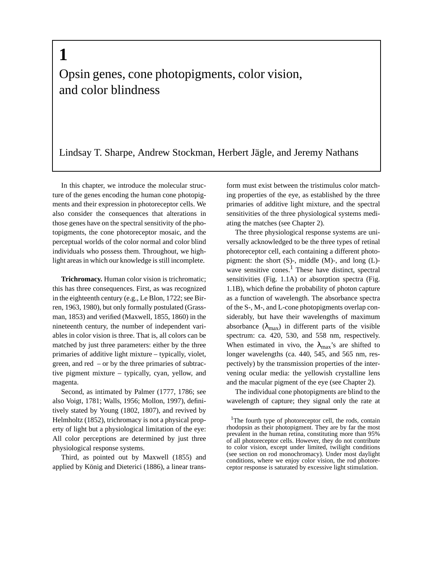# **1** Opsin genes, cone photopigments, color vision, and color blindness

Lindsay T. Sharpe, Andrew Stockman, Herbert Jägle, and Jeremy Nathans

In this chapter, we introduce the molecular structure of the genes encoding the human cone photopigments and their expression in photoreceptor cells. We also consider the consequences that alterations in those genes have on the spectral sensitivity of the photopigments, the cone photoreceptor mosaic, and the perceptual worlds of the color normal and color blind individuals who possess them. Throughout, we highlight areas in which our knowledge is still incomplete.

**Trichromacy.** Human color vision is trichromatic; this has three consequences. First, as was recognized in the eighteenth century (e.g., Le Blon, 1722; see Birren, 1963, 1980), but only formally postulated (Grassman, 1853) and verified (Maxwell, 1855, 1860) in the nineteenth century, the number of independent variables in color vision is three. That is, all colors can be matched by just three parameters: either by the three primaries of additive light mixture – typically, violet, green, and red – or by the three primaries of subtractive pigment mixture – typically, cyan, yellow, and magenta.

Second, as intimated by Palmer (1777, 1786; see also Voigt, 1781; Walls, 1956; Mollon, 1997), definitively stated by Young (1802, 1807), and revived by Helmholtz (1852), trichromacy is not a physical property of light but a physiological limitation of the eye: All color perceptions are determined by just three physiological response systems.

Third, as pointed out by Maxwell (1855) and applied by König and Dieterici (1886), a linear transform must exist between the tristimulus color matching properties of the eye, as established by the three primaries of additive light mixture, and the spectral sensitivities of the three physiological systems mediating the matches (see Chapter 2).

The three physiological response systems are universally acknowledged to be the three types of retinal photoreceptor cell, each containing a different photopigment: the short (S)-, middle (M)-, and long (L) wave sensitive cones. $<sup>1</sup>$  These have distinct, spectral</sup> sensitivities (Fig. 1.1A) or absorption spectra (Fig. 1.1B), which define the probability of photon capture as a function of wavelength. The absorbance spectra of the S-, M-, and L-cone photopigments overlap considerably, but have their wavelengths of maximum absorbance  $(\lambda_{\text{max}})$  in different parts of the visible spectrum: ca. 420, 530, and 558 nm, respectively. When estimated in vivo, the  $\lambda_{\text{max}}$ 's are shifted to longer wavelengths (ca. 440, 545, and 565 nm, respectively) by the transmission properties of the intervening ocular media: the yellowish crystalline lens and the macular pigment of the eye (see Chapter 2).

The individual cone photopigments are blind to the wavelength of capture; they signal only the rate at

<sup>&</sup>lt;sup>1</sup>The fourth type of photoreceptor cell, the rods, contain rhodopsin as their photopigment. They are by far the most prevalent in the human retina, constituting more than 95% of all photoreceptor cells. However, they do not contribute to color vision, except under limited, twilight conditions (see section on rod monochromacy). Under most daylight conditions, where we enjoy color vision, the rod photoreceptor response is saturated by excessive light stimulation.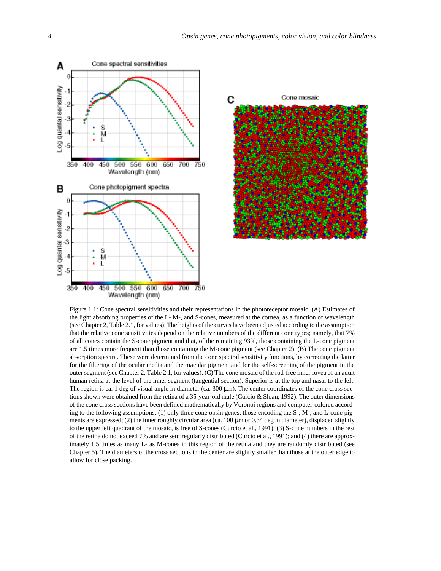



Figure 1.1: Cone spectral sensitivities and their representations in the photoreceptor mosaic. (A) Estimates of the light absorbing properties of the L- M-, and S-cones, measured at the cornea, as a function of wavelength (see Chapter 2, Table 2.1, for values). The heights of the curves have been adjusted according to the assumption that the relative cone sensitivities depend on the relative numbers of the different cone types; namely, that 7% of all cones contain the S-cone pigment and that, of the remaining 93%, those containing the L-cone pigment are 1.5 times more frequent than those containing the M-cone pigment (see Chapter 2). (B) The cone pigment absorption spectra. These were determined from the cone spectral sensitivity functions, by correcting the latter for the filtering of the ocular media and the macular pigment and for the self-screening of the pigment in the outer segment (see Chapter 2, Table 2.1, for values). (C) The cone mosaic of the rod-free inner fovea of an adult human retina at the level of the inner segment (tangential section). Superior is at the top and nasal to the left. The region is ca. 1 deg of visual angle in diameter (ca.  $300 \mu m$ ). The center coordinates of the cone cross sections shown were obtained from the retina of a 35-year-old male (Curcio & Sloan, 1992). The outer dimensions of the cone cross sections have been defined mathematically by Voronoi regions and computer-colored according to the following assumptions: (1) only three cone opsin genes, those encoding the S-, M-, and L-cone pigments are expressed; (2) the inner roughly circular area (ca.  $100 \mu m$  or 0.34 deg in diameter), displaced slightly to the upper left quadrant of the mosaic, is free of S-cones (Curcio et al., 1991); (3) S-cone numbers in the rest of the retina do not exceed 7% and are semiregularly distributed (Curcio et al*.*, 1991); and (4) there are approximately 1.5 times as many L- as M-cones in this region of the retina and they are randomly distributed (see Chapter 5). The diameters of the cross sections in the center are slightly smaller than those at the outer edge to allow for close packing.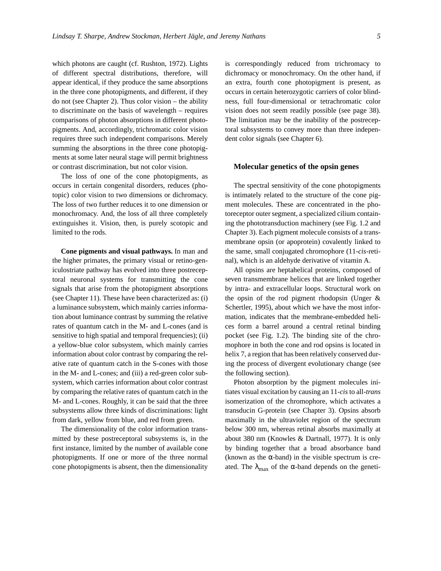which photons are caught (cf. Rushton, 1972). Lights of different spectral distributions, therefore, will appear identical, if they produce the same absorptions in the three cone photopigments, and different, if they do not (see Chapter 2). Thus color vision – the ability to discriminate on the basis of wavelength – requires comparisons of photon absorptions in different photopigments. And, accordingly, trichromatic color vision requires three such independent comparisons. Merely summing the absorptions in the three cone photopigments at some later neural stage will permit brightness or contrast discrimination, but not color vision.

The loss of one of the cone photopigments, as occurs in certain congenital disorders, reduces (photopic) color vision to two dimensions or dichromacy. The loss of two further reduces it to one dimension or monochromacy. And, the loss of all three completely extinguishes it. Vision, then, is purely scotopic and limited to the rods.

**Cone pigments and visual pathways.** In man and the higher primates, the primary visual or retino-geniculostriate pathway has evolved into three postreceptoral neuronal systems for transmitting the cone signals that arise from the photopigment absorptions (see Chapter 11). These have been characterized as: (i) a luminance subsystem, which mainly carries information about luminance contrast by summing the relative rates of quantum catch in the M- and L-cones (and is sensitive to high spatial and temporal frequencies); (ii) a yellow-blue color subsystem, which mainly carries information about color contrast by comparing the relative rate of quantum catch in the S-cones with those in the M- and L-cones; and (iii) a red-green color subsystem, which carries information about color contrast by comparing the relative rates of quantum catch in the M- and L-cones. Roughly, it can be said that the three subsystems allow three kinds of discriminations: light from dark, yellow from blue, and red from green.

The dimensionality of the color information transmitted by these postreceptoral subsystems is, in the first instance, limited by the number of available cone photopigments. If one or more of the three normal cone photopigments is absent, then the dimensionality is correspondingly reduced from trichromacy to dichromacy or monochromacy. On the other hand, if an extra, fourth cone photopigment is present, as occurs in certain heterozygotic carriers of color blindness, full four-dimensional or tetrachromatic color vision does not seem readily possible (see page 38). The limitation may be the inability of the postreceptoral subsystems to convey more than three independent color signals (see Chapter 6).

#### **Molecular genetics of the opsin genes**

The spectral sensitivity of the cone photopigments is intimately related to the structure of the cone pigment molecules. These are concentrated in the photoreceptor outer segment, a specialized cilium containing the phototransduction machinery (see Fig. 1.2 and Chapter 3). Each pigment molecule consists of a transmembrane opsin (or apoprotein) covalently linked to the same, small conjugated chromophore (11-*cis*-retinal), which is an aldehyde derivative of vitamin A.

All opsins are heptahelical proteins, composed of seven transmembrane helices that are linked together by intra- and extracellular loops. Structural work on the opsin of the rod pigment rhodopsin (Unger & Schertler, 1995), about which we have the most information, indicates that the membrane-embedded helices form a barrel around a central retinal binding pocket (see Fig. 1.2). The binding site of the chromophore in both the cone and rod opsins is located in helix 7, a region that has been relatively conserved during the process of divergent evolutionary change (see the following section).

Photon absorption by the pigment molecules initiates visual excitation by causing an 11-*cis* to all-*trans* isomerization of the chromophore, which activates a transducin G-protein (see Chapter 3). Opsins absorb maximally in the ultraviolet region of the spectrum below 300 nm, whereas retinal absorbs maximally at about 380 nm (Knowles & Dartnall, 1977). It is only by binding together that a broad absorbance band (known as the  $\alpha$ -band) in the visible spectrum is created. The  $\lambda_{\text{max}}$  of the  $\alpha$ -band depends on the geneti-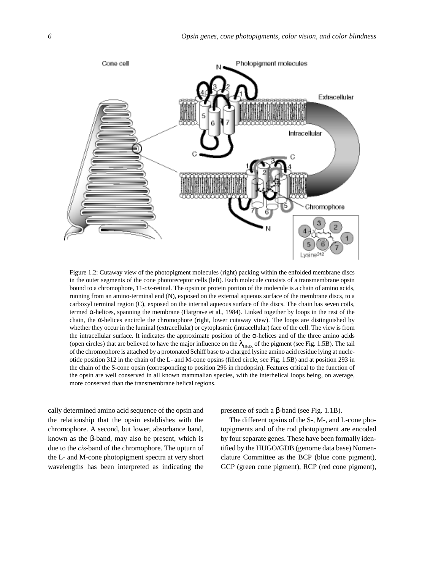

Figure 1.2: Cutaway view of the photopigment molecules (right) packing within the enfolded membrane discs in the outer segments of the cone photoreceptor cells (left). Each molecule consists of a transmembrane opsin bound to a chromophore, 11-*cis*-retinal. The opsin or protein portion of the molecule is a chain of amino acids, running from an amino-terminal end (N), exposed on the external aqueous surface of the membrane discs, to a carboxyl terminal region (C), exposed on the internal aqueous surface of the discs. The chain has seven coils, termed α-helices, spanning the membrane (Hargrave et al*.*, 1984). Linked together by loops in the rest of the chain, the  $\alpha$ -helices encircle the chromophore (right, lower cutaway view). The loops are distinguished by whether they occur in the luminal (extracellular) or cytoplasmic (intracellular) face of the cell. The view is from the intracellular surface. It indicates the approximate position of the  $\alpha$ -helices and of the three amino acids (open circles) that are believed to have the major influence on the  $\lambda_{\text{max}}$  of the pigment (see Fig. 1.5B). The tail of the chromophore is attached by a protonated Schiff base to a charged lysine amino acid residue lying at nucleotide position 312 in the chain of the L- and M-cone opsins (filled circle, see Fig. 1.5B) and at position 293 in the chain of the S-cone opsin (corresponding to position 296 in rhodopsin). Features critical to the function of the opsin are well conserved in all known mammalian species, with the interhelical loops being, on average, more conserved than the transmembrane helical regions.

cally determined amino acid sequence of the opsin and the relationship that the opsin establishes with the chromophore. A second, but lower, absorbance band, known as the β-band, may also be present, which is due to the *cis*-band of the chromophore. The upturn of the L- and M-cone photopigment spectra at very short wavelengths has been interpreted as indicating the presence of such a β-band (see Fig. 1.1B).

The different opsins of the S-, M-, and L-cone photopigments and of the rod photopigment are encoded by four separate genes. These have been formally identified by the HUGO/GDB (genome data base) Nomenclature Committee as the BCP (blue cone pigment), GCP (green cone pigment), RCP (red cone pigment),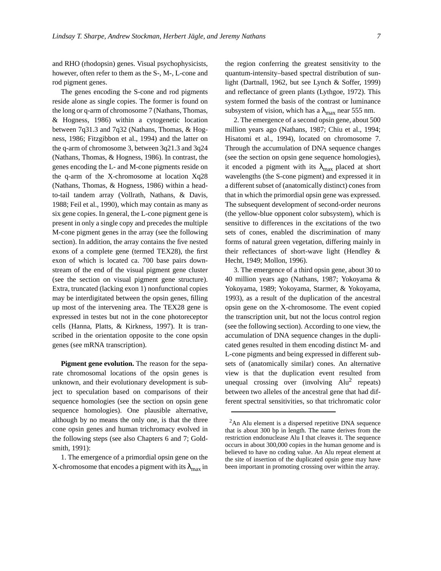and RHO (rhodopsin) genes. Visual psychophysicists, however, often refer to them as the S-, M-, L-cone and rod pigment genes.

The genes encoding the S-cone and rod pigments reside alone as single copies. The former is found on the long or q-arm of chromosome 7 (Nathans, Thomas, & Hogness, 1986) within a cytogenetic location between 7q31.3 and 7q32 (Nathans*,* Thomas, & Hogness, 1986; Fitzgibbon et al., 1994) and the latter on the q-arm of chromosome 3, between 3q21.3 and 3q24 (Nathans, Thomas, & Hogness, 1986). In contrast, the genes encoding the L- and M-cone pigments reside on the q-arm of the X-chromosome at location Xq28 (Nathans*,* Thomas, & Hogness, 1986) within a headto-tail tandem array (Vollrath, Nathans, & Davis, 1988; Feil et al., 1990), which may contain as many as six gene copies. In general, the L-cone pigment gene is present in only a single copy and precedes the multiple M-cone pigment genes in the array (see the following section). In addition, the array contains the five nested exons of a complete gene (termed TEX28), the first exon of which is located ca. 700 base pairs downstream of the end of the visual pigment gene cluster (see the section on visual pigment gene structure). Extra, truncated (lacking exon 1) nonfunctional copies may be interdigitated between the opsin genes, filling up most of the intervening area. The TEX28 gene is expressed in testes but not in the cone photoreceptor cells (Hanna, Platts, & Kirkness, 1997). It is transcribed in the orientation opposite to the cone opsin genes (see mRNA transcription).

**Pigment gene evolution.** The reason for the separate chromosomal locations of the opsin genes is unknown, and their evolutionary development is subject to speculation based on comparisons of their sequence homologies (see the section on opsin gene sequence homologies). One plausible alternative, although by no means the only one, is that the three cone opsin genes and human trichromacy evolved in the following steps (see also Chapters 6 and 7; Goldsmith, 1991):

1. The emergence of a primordial opsin gene on the X-chromosome that encodes a pigment with its  $\lambda_{\text{max}}$  in the region conferring the greatest sensitivity to the quantum-intensity–based spectral distribution of sunlight (Dartnall, 1962, but see Lynch & Soffer, 1999) and reflectance of green plants (Lythgoe, 1972). This system formed the basis of the contrast or luminance subsystem of vision, which has a  $\lambda_{\text{max}}$  near 555 nm.

2. The emergence of a second opsin gene, about 500 million years ago (Nathans, 1987; Chiu et al., 1994; Hisatomi et al., 1994), located on chromosome 7. Through the accumulation of DNA sequence changes (see the section on opsin gene sequence homologies), it encoded a pigment with its  $\lambda_{\text{max}}$  placed at short wavelengths (the S-cone pigment) and expressed it in a different subset of (anatomically distinct) cones from that in which the primordial opsin gene was expressed. The subsequent development of second-order neurons (the yellow-blue opponent color subsystem), which is sensitive to differences in the excitations of the two sets of cones, enabled the discrimination of many forms of natural green vegetation, differing mainly in their reflectances of short-wave light (Hendley & Hecht, 1949; Mollon, 1996).

3. The emergence of a third opsin gene, about 30 to 40 million years ago (Nathans, 1987; Yokoyama & Yokoyama, 1989; Yokoyama, Starmer, & Yokoyama, 1993), as a result of the duplication of the ancestral opsin gene on the X-chromosome. The event copied the transcription unit, but not the locus control region (see the following section). According to one view, the accumulation of DNA sequence changes in the duplicated genes resulted in them encoding distinct M- and L-cone pigments and being expressed in different subsets of (anatomically similar) cones. An alternative view is that the duplication event resulted from unequal crossing over (involving  $\text{Al}u^2$  repeats) between two alleles of the ancestral gene that had different spectral sensitivities, so that trichromatic color

 $2$ An Alu element is a dispersed repetitive DNA sequence that is about 300 bp in length. The name derives from the restriction endonuclease Alu I that cleaves it. The sequence occurs in about 300,000 copies in the human genome and is believed to have no coding value. An Alu repeat element at the site of insertion of the duplicated opsin gene may have been important in promoting crossing over within the array.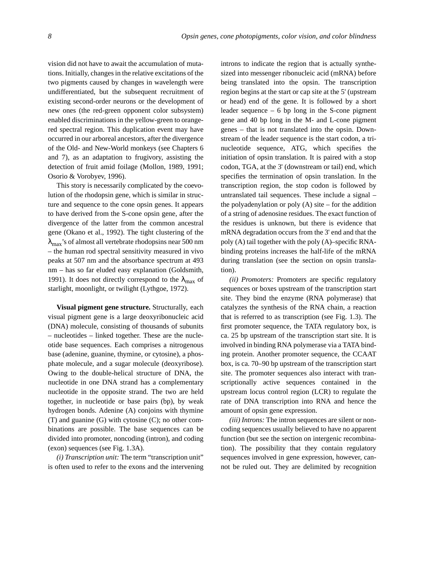vision did not have to await the accumulation of mutations. Initially, changes in the relative excitations of the two pigments caused by changes in wavelength were undifferentiated, but the subsequent recruitment of existing second-order neurons or the development of new ones (the red-green opponent color subsystem) enabled discriminations in the yellow-green to orangered spectral region. This duplication event may have occurred in our arboreal ancestors, after the divergence of the Old- and New-World monkeys (see Chapters 6 and 7), as an adaptation to frugivory, assisting the detection of fruit amid foilage (Mollon, 1989, 1991; Osorio & Vorobyev, 1996).

This story is necessarily complicated by the coevolution of the rhodopsin gene, which is similar in structure and sequence to the cone opsin genes. It appears to have derived from the S-cone opsin gene, after the divergence of the latter from the common ancestral gene (Okano et al., 1992). The tight clustering of the  $\lambda_{\text{max}}$ 's of almost all vertebrate rhodopsins near 500 nm – the human rod spectral sensitivity measured in vivo peaks at 507 nm and the absorbance spectrum at 493 nm – has so far eluded easy explanation (Goldsmith, 1991). It does not directly correspond to the  $\lambda_{\text{max}}$  of starlight, moonlight, or twilight (Lythgoe, 1972).

**Visual pigment gene structure.** Structurally, each visual pigment gene is a large deoxyribonucleic acid (DNA) molecule, consisting of thousands of subunits – nucleotides – linked together. These are the nucleotide base sequences. Each comprises a nitrogenous base (adenine, guanine, thymine, or cytosine), a phosphate molecule, and a sugar molecule (deoxyribose). Owing to the double-helical structure of DNA, the nucleotide in one DNA strand has a complementary nucleotide in the opposite strand. The two are held together, in nucleotide or base pairs (bp), by weak hydrogen bonds. Adenine (A) conjoins with thymine (T) and guanine (G) with cytosine (C); no other combinations are possible. The base sequences can be divided into promoter, noncoding (intron), and coding (exon) sequences (see Fig. 1.3A).

*(i) Transcription unit:* The term "transcription unit" is often used to refer to the exons and the intervening introns to indicate the region that is actually synthesized into messenger ribonucleic acid (mRNA) before being translated into the opsin. The transcription region begins at the start or cap site at the 5' (upstream or head) end of the gene. It is followed by a short leader sequence – 6 bp long in the S-cone pigment gene and 40 bp long in the M- and L-cone pigment genes – that is not translated into the opsin. Downstream of the leader sequence is the start codon, a trinucleotide sequence, ATG, which specifies the initiation of opsin translation. It is paired with a stop codon, TGA, at the 3' (downstream or tail) end, which specifies the termination of opsin translation. In the transcription region, the stop codon is followed by untranslated tail sequences. These include a signal – the polyadenylation or poly  $(A)$  site – for the addition of a string of adenosine residues. The exact function of the residues is unknown, but there is evidence that mRNA degradation occurs from the 3' end and that the poly (A) tail together with the poly (A)–specific RNAbinding proteins increases the half-life of the mRNA during translation (see the section on opsin translation).

*(ii) Promoters:* Promoters are specific regulatory sequences or boxes upstream of the transcription start site. They bind the enzyme (RNA polymerase) that catalyzes the synthesis of the RNA chain, a reaction that is referred to as transcription (see Fig. 1.3). The first promoter sequence, the TATA regulatory box, is ca. 25 bp upstream of the transcription start site. It is involved in binding RNA polymerase via a TATA binding protein. Another promoter sequence, the CCAAT box, is ca. 70–90 bp upstream of the transcription start site. The promoter sequences also interact with transcriptionally active sequences contained in the upstream locus control region (LCR) to regulate the rate of DNA transcription into RNA and hence the amount of opsin gene expression.

*(iii) Introns:* The intron sequences are silent or noncoding sequences usually believed to have no apparent function (but see the section on intergenic recombination). The possibility that they contain regulatory sequences involved in gene expression, however, cannot be ruled out. They are delimited by recognition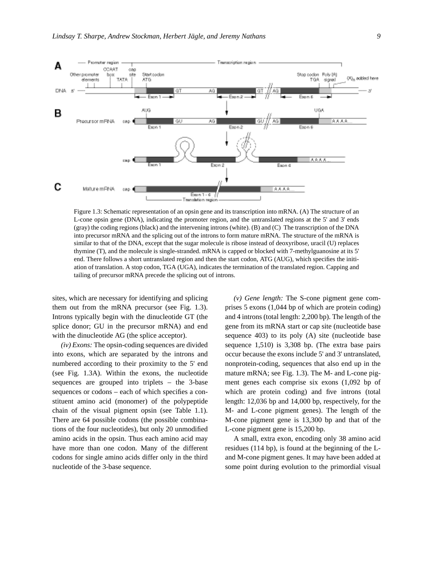

Figure 1.3: Schematic representation of an opsin gene and its transcription into mRNA. (A) The structure of an L-cone opsin gene (DNA), indicating the promoter region, and the untranslated regions at the 5' and 3' ends (gray) the coding regions (black) and the intervening introns (white). (B) and (C) The transcription of the DNA into precursor mRNA and the splicing out of the introns to form mature mRNA. The structure of the mRNA is similar to that of the DNA, except that the sugar molecule is ribose instead of deoxyribose, uracil (U) replaces thymine (T), and the molecule is single-stranded. mRNA is capped or blocked with 7-methylguanosine at its 5' end. There follows a short untranslated region and then the start codon, ATG (AUG), which specifies the initiation of translation. A stop codon, TGA (UGA), indicates the termination of the translated region. Capping and tailing of precursor mRNA precede the splicing out of introns.

sites, which are necessary for identifying and splicing them out from the mRNA precursor (see Fig. 1.3). Introns typically begin with the dinucleotide GT (the splice donor; GU in the precursor mRNA) and end with the dinucleotide AG (the splice acceptor).

*(iv) Exons:* The opsin-coding sequences are divided into exons, which are separated by the introns and numbered according to their proximity to the 5' end (see Fig. 1.3A). Within the exons, the nucleotide sequences are grouped into triplets – the 3-base sequences or codons – each of which specifies a constituent amino acid (monomer) of the polypeptide chain of the visual pigment opsin (see Table 1.1). There are 64 possible codons (the possible combinations of the four nucleotides), but only 20 unmodified amino acids in the opsin. Thus each amino acid may have more than one codon. Many of the different codons for single amino acids differ only in the third nucleotide of the 3-base sequence.

*(v) Gene length:* The S-cone pigment gene comprises 5 exons (1,044 bp of which are protein coding) and 4 introns (total length: 2,200 bp). The length of the gene from its mRNA start or cap site (nucleotide base sequence 403) to its poly (A) site (nucleotide base sequence 1,510) is 3,308 bp. (The extra base pairs occur because the exons include 5' and 3' untranslated, nonprotein-coding, sequences that also end up in the mature mRNA; see Fig. 1.3). The M- and L-cone pigment genes each comprise six exons (1,092 bp of which are protein coding) and five introns (total length: 12,036 bp and 14,000 bp, respectively, for the M- and L-cone pigment genes). The length of the M-cone pigment gene is 13,300 bp and that of the L-cone pigment gene is 15,200 bp.

A small, extra exon, encoding only 38 amino acid residues (114 bp), is found at the beginning of the Land M-cone pigment genes. It may have been added at some point during evolution to the primordial visual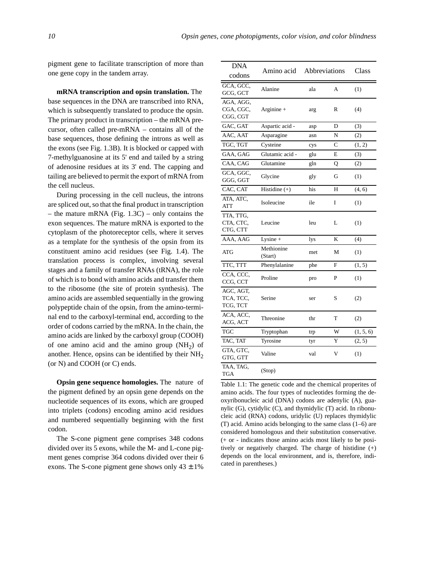pigment gene to facilitate transcription of more than one gene copy in the tandem array.

**mRNA transcription and opsin translation.** The base sequences in the DNA are transcribed into RNA, which is subsequently translated to produce the opsin. The primary product in transcription – the mRNA precursor, often called pre-mRNA – contains all of the base sequences, those defining the introns as well as the exons (see Fig. 1.3B). It is blocked or capped with 7-methylguanosine at its 5' end and tailed by a string of adenosine residues at its 3' end. The capping and tailing are believed to permit the export of mRNA from the cell nucleus.

During processing in the cell nucleus, the introns are spliced out, so that the final product in transcription – the mature mRNA (Fig.  $1.3C$ ) – only contains the exon sequences. The mature mRNA is exported to the cytoplasm of the photoreceptor cells, where it serves as a template for the synthesis of the opsin from its constituent amino acid residues (see Fig. 1.4). The translation process is complex, involving several stages and a family of transfer RNAs (tRNA), the role of which is to bond with amino acids and transfer them to the ribosome (the site of protein synthesis). The amino acids are assembled sequentially in the growing polypeptide chain of the opsin, from the amino-terminal end to the carboxyl-terminal end, according to the order of codons carried by the mRNA. In the chain, the amino acids are linked by the carboxyl group (COOH) of one amino acid and the amino group  $(NH<sub>2</sub>)$  of another. Hence, opsins can be identified by their  $NH<sub>2</sub>$ (or N) and COOH (or C) ends.

**Opsin gene sequence homologies.** The nature of the pigment defined by an opsin gene depends on the nucleotide sequences of its exons, which are grouped into triplets (codons) encoding amino acid residues and numbered sequentially beginning with the first codon.

The S-cone pigment gene comprises 348 codons divided over its 5 exons, while the M- and L-cone pigment genes comprise 364 codons divided over their 6 exons. The S-cone pigment gene shows only  $43 \pm 1\%$ 

| <b>DNA</b>                         |                       | Amino acid Abbreviations |   | Class     |  |
|------------------------------------|-----------------------|--------------------------|---|-----------|--|
| codons                             |                       |                          |   |           |  |
| GCA, GCC,<br>GCG, GCT              | Alanine               | ala                      | A | (1)       |  |
| AGA, AGG,<br>CGA, CGC,<br>CGG, CGT | Arginine $+$          | arg                      | R | (4)       |  |
| GAC, GAT                           | Aspartic acid -       | asp                      | D | (3)       |  |
| AAC, AAT                           | Asparagine            | asn                      | N | (2)       |  |
| TGC, TGT                           | Cysteine              | cys                      | C | (1, 2)    |  |
| GAA, GAG                           | Glutamic acid -       | glu                      | E | (3)       |  |
| CAA, CAG                           | Glutamine             | gln                      | Q | (2)       |  |
| GCA, GGC,<br>GGG, GGT              | Glycine               | gly                      | G | (1)       |  |
| CAC, CAT                           | Histidine $(+)$       | his                      | Н | (4, 6)    |  |
| ATA, ATC,<br>ATT                   | Isoleucine            | ile                      | I | (1)       |  |
| TTA, TTG,<br>CTA, CTC,<br>CTG, CTT | Leucine               | leu                      | L | (1)       |  |
| AAA, AAG                           | $Lysine +$            | lys                      | K | (4)       |  |
| ATG                                | Methionine<br>(Start) | met                      | М | (1)       |  |
| TTC, TTT                           | Phenylalanine         | phe                      | F | (1, 5)    |  |
| CCA, CCC,<br>CCG, CCT              | Proline               | pro                      | P | (1)       |  |
| AGC, AGT,<br>TCA, TCC,<br>TCG, TCT | Serine                | ser                      | S | (2)       |  |
| ACA, ACC,<br>ACG, ACT              | Threonine             | thr                      | T | (2)       |  |
| TGC                                | Tryptophan            | trp                      | W | (1, 5, 6) |  |
| TAC, TAT                           | Tyrosine              | tyr                      | Y | (2, 5)    |  |
| GTA, GTC,<br>GTG, GTT              | Valine                | val                      | V | (1)       |  |
| TAA, TAG,<br>TGA                   | (Stop)                |                          |   |           |  |

Table 1.1: The genetic code and the chemical properites of amino acids. The four types of nucleotides forming the deoxyribonucleic acid (DNA) codons are adenylic (A), guanylic (G), cytidylic (C), and thymidylic (T) acid. In ribonucleic acid (RNA) codons, uridylic (U) replaces thymidylic (T) acid. Amino acids belonging to the same class (1–6) are considered homologous and their substitution conservative. (+ or - indicates those amino acids most likely to be positively or negatively charged. The charge of histidine (+) depends on the local environment, and is, therefore, indicated in parentheses.)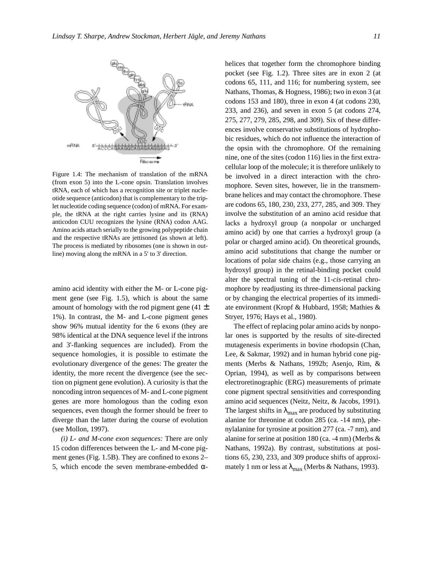

Figure 1.4: The mechanism of translation of the mRNA (from exon 5) into the L-cone opsin. Translation involves tRNA, each of which has a recognition site or triplet nucleotide sequence (anticodon) that is complementary to the triplet nucleotide coding sequence (codon) of mRNA. For example, the tRNA at the right carries lysine and its (RNA) anticodon CUU recognizes the lysine (RNA) codon AAG. Amino acids attach serially to the growing polypeptide chain and the respective tRNAs are jettisoned (as shown at left). The process is mediated by ribosomes (one is shown in outline) moving along the mRNA in a 5' to 3' direction.

amino acid identity with either the M- or L-cone pigment gene (see Fig. 1.5), which is about the same amount of homology with the rod pigment gene (41  $\pm$ 1%). In contrast, the M- and L-cone pigment genes show 96% mutual identity for the 6 exons (they are 98% identical at the DNA sequence level if the introns and 3'-flanking sequences are included). From the sequence homologies, it is possible to estimate the evolutionary divergence of the genes: The greater the identity, the more recent the divergence (see the section on pigment gene evolution). A curiosity is that the noncoding intron sequences of M- and L-cone pigment genes are more homologous than the coding exon sequences, even though the former should be freer to diverge than the latter during the course of evolution (see Mollon, 1997).

*(i) L- and M-cone exon sequences:* There are only 15 codon differences between the L- and M-cone pigment genes (Fig. 1.5B). They are confined to exons 2– 5, which encode the seven membrane-embedded  $α$ - helices that together form the chromophore binding pocket (see Fig. 1.2). Three sites are in exon 2 (at codons 65, 111, and 116; for numbering system, see Nathans, Thomas, & Hogness, 1986); two in exon 3 (at codons 153 and 180), three in exon 4 (at codons 230, 233, and 236), and seven in exon 5 (at codons 274, 275, 277, 279, 285, 298, and 309). Six of these differences involve conservative substitutions of hydrophobic residues, which do not influence the interaction of the opsin with the chromophore. Of the remaining nine, one of the sites (codon 116) lies in the first extracellular loop of the molecule; it is therefore unlikely to be involved in a direct interaction with the chromophore. Seven sites, however, lie in the transmembrane helices and may contact the chromophore. These are codons 65, 180, 230, 233, 277, 285, and 309. They involve the substitution of an amino acid residue that lacks a hydroxyl group (a nonpolar or uncharged amino acid) by one that carries a hydroxyl group (a polar or charged amino acid). On theoretical grounds, amino acid substitutions that change the number or locations of polar side chains (e.g., those carrying an hydroxyl group) in the retinal-binding pocket could alter the spectral tuning of the 11-*cis*-retinal chromophore by readjusting its three-dimensional packing or by changing the electrical properties of its immediate environment (Kropf & Hubbard, 1958; Mathies & Stryer, 1976; Hays et al., 1980).

The effect of replacing polar amino acids by nonpolar ones is supported by the results of site-directed mutagenesis experiments in bovine rhodopsin (Chan, Lee, & Sakmar, 1992) and in human hybrid cone pigments (Merbs & Nathans, 1992b; Asenjo, Rim, & Oprian, 1994), as well as by comparisons between electroretinographic (ERG) measurements of primate cone pigment spectral sensitivities and corresponding amino acid sequences (Neitz*,* Neitz, & Jacobs, 1991). The largest shifts in  $\lambda_{\text{max}}$  are produced by substituting alanine for threonine at codon 285 (ca. -14 nm), phenylalanine for tyrosine at position 277 (ca. -7 nm), and alanine for serine at position 180 (ca. -4 nm) (Merbs & Nathans, 1992a). By contrast, substitutions at positions 65, 230, 233, and 309 produce shifts of approximately 1 nm or less at  $\lambda_{\text{max}}$  (Merbs & Nathans, 1993).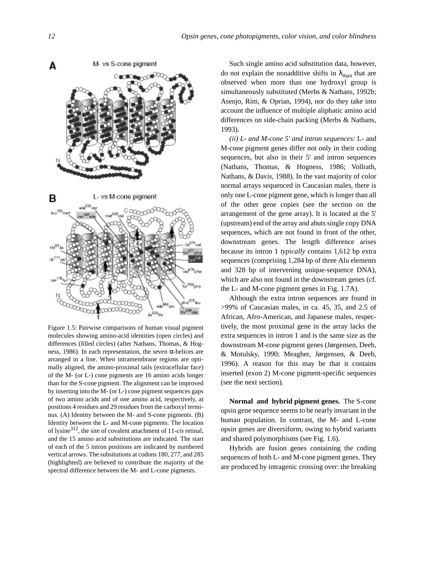M- vs S-cone pigment



Figure 1.5: Pairwise comparisons of human visual pigment molecules showing amino-acid identities (open circles) and differences (filled circles) (after Nathans, Thomas, & Hogness, 1986). In each representation, the seven  $\alpha$ -helices are arranged in a line. When intramembrane regions are optimally aligned, the amino-proximal tails (extracellular face) of the M- (or L-) cone pigments are 16 amino acids longer than for the S-cone pigment. The alignment can be improved by inserting into the M- (or L-) cone pigment sequences gaps of two amino acids and of one amino acid, respectively, at positions 4 residues and 29 residues from the carboxyl terminus. (A) Identity between the M- and S-cone pigments. (B) Identity between the L- and M-cone pigments. The location of lysine312, the site of covalent attachment of 11-*cis* retinal, and the 15 amino acid substitutions are indicated. The start of each of the 5 intron positions are indicated by numbered vertical arrows. The subsitutions at codons 180, 277, and 285 (highlighted) are believed to contribute the majority of the spectral difference between the M- and L-cone pigments.

Such single amino acid substitution data, however, do not explain the nonadditive shifts in  $\lambda_{\text{max}}$  that are observed when more than one hydroxyl group is simultaneously substituted (Merbs & Nathans, 1992b; Asenjo, Rim, & Oprian, 1994), nor do they take into account the influence of multiple aliphatic amino acid differences on side-chain packing (Merbs & Nathans, 1993).

*(ii) L- and M-cone 5' and intron sequences:* L- and M-cone pigment genes differ not only in their coding sequences, but also in their 5' and intron sequences (Nathans, Thomas, & Hogness, 1986; Vollrath*,* Nathans, & Davis, 1988). In the vast majority of color normal arrays sequenced in Caucasian males, there is only one L-cone pigment gene, which is longer than all of the other gene copies (see the section on the arrangement of the gene array). It is located at the 5' (upstream) end of the array and abuts single copy DNA sequences, which are not found in front of the other, downstream genes. The length difference arises because its intron 1 *typically* contains 1,612 bp extra sequences (comprising 1,284 bp of three Alu elements and 328 bp of intervening unique-sequence DNA), which are also not found in the downstream genes (cf. the L- and M-cone pigment genes in Fig. 1.7A).

Although the extra intron sequences are found in >99% of Caucasian males, in ca. 45, 35, and 2.5 of African, Afro-American, and Japanese males, respectively, the most proximal gene in the array lacks the extra sequences in intron 1 and is the same size as the downstream M-cone pigment genes (Jørgensen, Deeb, & Motulsky, 1990; Meagher, Jørgensen, & Deeb, 1996). A reason for this may be that it contains inserted (exon 2) M-cone pigment-specific sequences (see the next section).

**Normal and hybrid pigment genes.** The S-cone opsin gene sequence seems to be nearly invariant in the human population. In contrast, the M- and L-cone opsin genes are diversiform, owing to hybrid variants and shared polymorphisms (see Fig. 1.6).

Hybrids are fusion genes containing the coding sequences of both L- and M-cone pigment genes. They are produced by intragenic crossing over: the breaking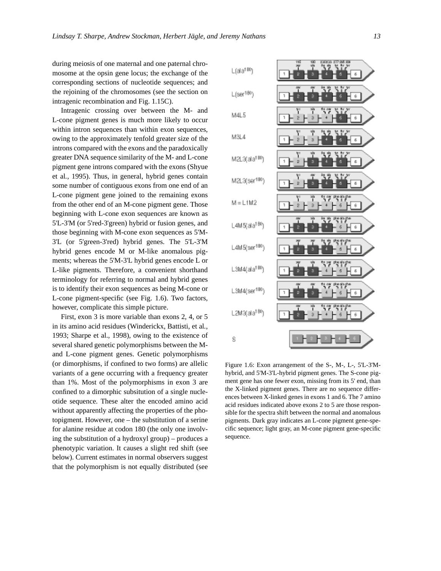during meiosis of one maternal and one paternal chromosome at the opsin gene locus; the exchange of the corresponding sections of nucleotide sequences; and the rejoining of the chromosomes (see the section on intragenic recombination and Fig. 1.15C).

Intragenic crossing over between the M- and L-cone pigment genes is much more likely to occur within intron sequences than within exon sequences, owing to the approximately tenfold greater size of the introns compared with the exons and the paradoxically greater DNA sequence similarity of the M- and L-cone pigment gene introns compared with the exons (Shyue et al*.*, 1995). Thus, in general, hybrid genes contain some number of contiguous exons from one end of an L-cone pigment gene joined to the remaining exons from the other end of an M-cone pigment gene. Those beginning with L-cone exon sequences are known as 5'L-3'M (or 5'red-3'green) hybrid or fusion genes, and those beginning with M-cone exon sequences as 5'M-3'L (or 5'green-3'red) hybrid genes. The 5'L-3'M hybrid genes encode M or M-like anomalous pigments; whereas the 5'M-3'L hybrid genes encode L or L-like pigments. Therefore, a convenient shorthand terminology for referring to normal and hybrid genes is to identify their exon sequences as being M-cone or L-cone pigment-specific (see Fig. 1.6). Two factors, however, complicate this simple picture.

First, exon 3 is more variable than exons 2, 4, or 5 in its amino acid residues (Winderickx, Battisti, et al*.*, 1993; Sharpe et al., 1998), owing to the existence of several shared genetic polymorphisms between the Mand L-cone pigment genes. Genetic polymorphisms (or dimorphisms, if confined to two forms) are allelic variants of a gene occurring with a frequency greater than 1%. Most of the polymorphisms in exon 3 are confined to a dimorphic subsitution of a single nucleotide sequence. These alter the encoded amino acid without apparently affecting the properties of the photopigment. However, one – the substitution of a serine for alanine residue at codon 180 (the only one involving the substitution of a hydroxyl group) – produces a phenotypic variation. It causes a slight red shift (see below). Current estimates in normal observers suggest that the polymorphism is not equally distributed (see



Figure 1.6: Exon arrangement of the S-, M-, L-, 5'L-3'Mhybrid, and 5'M-3'L-hybrid pigment genes. The S-cone pigment gene has one fewer exon, missing from its 5' end, than the X-linked pigment genes. There are no sequence differences between X-linked genes in exons 1 and 6. The 7 amino acid residues indicated above exons 2 to 5 are those responsible for the spectra shift between the normal and anomalous pigments. Dark gray indicates an L-cone pigment gene-specific sequence; light gray, an M-cone pigment gene-specific sequence.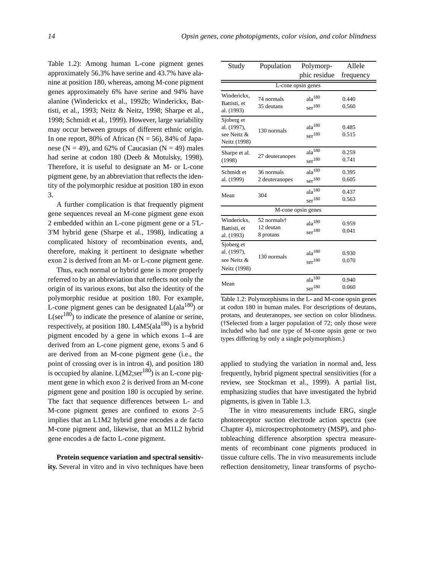Table 1.2): Among human L-cone pigment genes approximately 56.3% have serine and 43.7% have alanine at position 180, whereas, among M-cone pigment genes approximately 6% have serine and 94% have alanine (Winderickx et al., 1992b; Winderickx, Battisti, et al*.*, 1993; Neitz & Neitz, 1998; Sharpe et al*.*, 1998; Schmidt et al*.*, 1999). However, large variability may occur between groups of different ethnic origin. In one report, 80% of African ( $N = 56$ ), 84% of Japanese ( $N = 49$ ), and 62% of Caucasian ( $N = 49$ ) males had serine at codon 180 (Deeb & Motulsky, 1998). Therefore, it is useful to designate an M- or L-cone pigment gene, by an abbreviation that reflects the identity of the polymorphic residue at position 180 in exon 3.

A further complication is that frequently pigment gene sequences reveal an M-cone pigment gene exon 2 embedded within an L-cone pigment gene or a 5'L-3'M hybrid gene (Sharpe et al*.*, 1998), indicating a complicated history of recombination events, and, therefore, making it pertinent to designate whether exon 2 is derived from an M- or L-cone pigment gene.

Thus, each normal or hybrid gene is more properly referred to by an abbreviation that reflects not only the origin of its various exons, but also the identity of the polymorphic residue at position 180. For example, L-cone pigment genes can be designated  $L(ala^{180})$  or  $L(\text{ser}^{180})$  to indicate the presence of alanine or serine, respectively, at position 180. L4M5( $a/a<sup>180</sup>$ ) is a hybrid pigment encoded by a gene in which exons 1–4 are derived from an L-cone pigment gene, exons 5 and 6 are derived from an M-cone pigment gene (i.e., the point of crossing over is in intron 4), and position 180 is occupied by alanine.  $L(M2;ser^{180})$  is an L-cone pigment gene in which exon 2 is derived from an M-cone pigment gene and position 180 is occupied by serine. The fact that sequence differences between L- and M-cone pigment genes are confined to exons 2–5 implies that an L1M2 hybrid gene encodes a de facto M-cone pigment and, likewise, that an M1L2 hybrid gene encodes a de facto L-cone pigment.

**Protein sequence variation and spectral sensitivity.** Several in vitro and in vivo techniques have been

| Study                                                    | Population                            | Polymorp-                         | Allele         |  |  |
|----------------------------------------------------------|---------------------------------------|-----------------------------------|----------------|--|--|
|                                                          |                                       | phic residue                      | frequency      |  |  |
|                                                          |                                       | L-cone opsin genes                |                |  |  |
| Winderickx,<br>Battisti, et<br>al. (1993)                | 74 normals<br>35 deutans              | $ala^{180}$<br>ser <sup>180</sup> | 0.440<br>0.560 |  |  |
| Sjoberg et<br>al. (1997),<br>see Neitz &<br>Neitz (1998) | 130 normals                           | $ala^{180}$<br>ser <sup>180</sup> | 0.485<br>0.515 |  |  |
| Sharpe et al.<br>(1998)                                  | 27 deuteranopes                       | $ala^{180}$<br>ser <sup>180</sup> | 0.259<br>0.741 |  |  |
| Schmidt et<br>al. (1999)                                 | 36 normals<br>2 deuteranopes          | $ala^{180}$<br>ser <sup>180</sup> | 0.395<br>0.605 |  |  |
| Mean                                                     | 304                                   | $ala^{180}$<br>ser <sup>180</sup> | 0.437<br>0.563 |  |  |
| M-cone opsin genes                                       |                                       |                                   |                |  |  |
| Winderickx,<br>Battisti, et<br>al. (1993)                | 52 normals†<br>12 deutan<br>8 protans | $ala^{180}$<br>ser <sup>180</sup> | 0.959<br>0.041 |  |  |
| Sjoberg et<br>al. (1997),<br>see Neitz &<br>Neitz (1998) | 130 normals                           | $ala^{180}$<br>ser <sup>180</sup> | 0.930<br>0.070 |  |  |
| Mean                                                     |                                       | $ala^{180}$<br>ser <sup>180</sup> | 0.940<br>0.060 |  |  |

Table 1.2: Polymorphisms in the L- and M-cone opsin genes at codon 180 in human males. For descriptions of deutans, protans, and deuteranopes, see section on color blindness. (†Selected from a larger population of 72; only those were included who had one type of M-cone opsin gene or two types differing by only a single polymorphism.)

applied to studying the variation in normal and, less frequently, hybrid pigment spectral sensitivities (for a review, see Stockman et al., 1999). A partial list, emphasizing studies that have investigated the hybrid pigments, is given in Table 1.3.

The in vitro measurements include ERG, single photoreceptor suction electrode action spectra (see Chapter 4), microspectrophotometry (MSP), and photobleaching difference absorption spectra measurements of recombinant cone pigments produced in tissue culture cells. The in vivo measurements include reflection densitometry, linear transforms of psycho-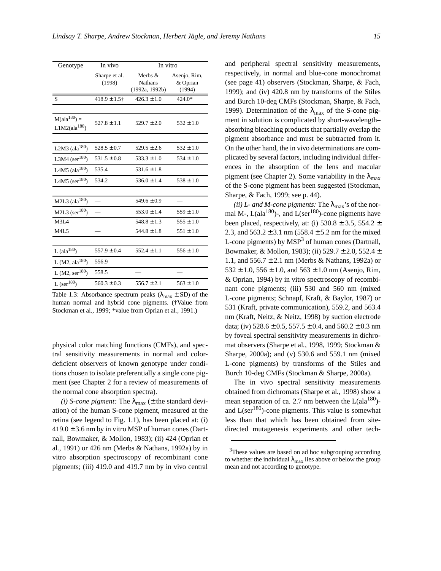| Genotype                                      | In vivo                 | In vitro                                      |                                    |  |
|-----------------------------------------------|-------------------------|-----------------------------------------------|------------------------------------|--|
|                                               | Sharpe et al.<br>(1998) | Merbs $&$<br><b>Nathans</b><br>(1992a, 1992b) | Asenjo, Rim,<br>& Oprian<br>(1994) |  |
| $\overline{s}$                                | $418.9 \pm 1.5$ †       | $426.3 \pm 1.0$                               | $424.0*$                           |  |
|                                               |                         |                                               |                                    |  |
| $M(ala^{180}) =$<br>L1M2(ala <sup>180</sup> ) | $527.8 \pm 1.1$         | $529.7 \pm 2.0$                               | $532 \pm 1.0$                      |  |
|                                               |                         |                                               |                                    |  |
| L2M3 $(ala^{180})$                            | $528.5 \pm 0.7$         | $529.5 \pm 2.6$                               | $532 \pm 1.0$                      |  |
| L3M4 $(ser^{180})$                            | $531.5 \pm 0.8$         | $533.3 \pm 1.0$                               | $534 \pm 1.0$                      |  |
| L4M5 (ala $^{180}$ )                          | 535.4                   | $531.6 \pm 1.8$                               |                                    |  |
| L4M5 ( $ser^{180}$ )                          | 534.2                   | $536.0 \pm 1.4$                               | $538 \pm 1.0$                      |  |
|                                               |                         |                                               |                                    |  |
| $M2L3$ (ala $^{180}$ )                        |                         | $549.6 \pm 0.9$                               |                                    |  |
| M2L3 (ser <sup>180</sup> )                    |                         | $553.0 \pm 1.4$                               | $559 \pm 1.0$                      |  |
| M3I.4                                         |                         | $548.8 \pm 1.3$                               | $555 \pm 1.0$                      |  |
| M <sub>4L5</sub>                              |                         | $544.8 \pm 1.8$                               | $551 \pm 1.0$                      |  |
|                                               |                         |                                               |                                    |  |
| L $(ala^{180})$                               | $557.9 \pm 0.4$         | $552.4 \pm 1.1$                               | $556 \pm 1.0$                      |  |
| L (M2, $ala^{180}$ )                          | 556.9                   |                                               |                                    |  |
| L (M2, $ser^{180}$ )                          | 558.5                   |                                               |                                    |  |
| $L$ (ser $^{180}$ )                           | $560.3 \pm 0.3$         | $556.7 \pm 2.1$                               | $563 \pm 1.0$                      |  |
|                                               |                         |                                               |                                    |  |

Table 1.3: Absorbance spectrum peaks ( $\lambda_{\text{max}} \pm \text{SD}$ ) of the human normal and hybrid cone pigments. (†Value from Stockman et al., 1999; \*value from Oprian et al*.*, 1991.)

physical color matching functions (CMFs), and spectral sensitivity measurements in normal and colordeficient observers of known genotype under conditions chosen to isolate preferentially a single cone pigment (see Chapter 2 for a review of measurements of the normal cone absorption spectra).

*(i) S-cone pigment:* The  $\lambda_{\text{max}}$  ( $\pm$  the standard deviation) of the human S-cone pigment, measured at the retina (see legend to Fig. 1.1), has been placed at: (i)  $419.0 \pm 3.6$  nm by in vitro MSP of human cones (Dartnall, Bowmaker, & Mollon, 1983); (ii) 424 (Oprian et al*.*, 1991) or 426 nm (Merbs & Nathans, 1992a) by in vitro absorption spectroscopy of recombinant cone pigments; (iii) 419.0 and 419.7 nm by in vivo central and peripheral spectral sensitivity measurements, respectively, in normal and blue-cone monochromat (see page 41) observers (Stockman, Sharpe, & Fach, 1999); and (iv) 420.8 nm by transforms of the Stiles and Burch 10-deg CMFs (Stockman, Sharpe, & Fach, 1999). Determination of the  $\lambda_{\text{max}}$  of the S-cone pigment in solution is complicated by short-wavelength– absorbing bleaching products that partially overlap the pigment absorbance and must be subtracted from it. On the other hand, the in vivo determinations are complicated by several factors, including individual differences in the absorption of the lens and macular pigment (see Chapter 2). Some variability in the  $\lambda_{\text{max}}$ of the S-cone pigment has been suggested (Stockman, Sharpe, & Fach, 1999; see p. 44).

(*ii*) *L*- and *M*-cone pigments: The  $\lambda_{\text{max}}$ 's of the normal M-,  $L(ala^{180})$ -, and  $L(ser^{180})$ -cone pigments have been placed, respectively, at: (i)  $530.8 \pm 3.5$ ,  $554.2 \pm$ 2.3, and  $563.2 \pm 3.1$  nm  $(558.4 \pm 5.2$  nm for the mixed L-cone pigments) by  $MSP<sup>3</sup>$  of human cones (Dartnall, Bowmaker, & Mollon, 1983); (ii) 529.7 ± 2.0, 552.4 ± 1.1, and  $556.7 \pm 2.1$  nm (Merbs & Nathans, 1992a) or  $532 \pm 1.0$ ,  $556 \pm 1.0$ , and  $563 \pm 1.0$  nm (Asenjo, Rim, & Oprian, 1994) by in vitro spectroscopy of recombinant cone pigments; (iii) 530 and 560 nm (mixed L-cone pigments; Schnapf*,* Kraft, & Baylor, 1987) or 531 (Kraft, private communication), 559.2, and 563.4 nm (Kraft, Neitz, & Neitz, 1998) by suction electrode data; (iv)  $528.6 \pm 0.5$ ,  $557.5 \pm 0.4$ , and  $560.2 \pm 0.3$  nm by foveal spectral sensitivity measurements in dichromat observers (Sharpe et al*.*, 1998, 1999; Stockman & Sharpe, 2000a); and (v) 530.6 and 559.1 nm (mixed L-cone pigments) by transforms of the Stiles and Burch 10-deg CMFs (Stockman & Sharpe, 2000a).

The in vivo spectral sensitivity measurements obtained from dichromats (Sharpe et al*.*, 1998) show a mean separation of ca. 2.7 nm between the  $L(ala^{180})$ and  $L(\text{ser}^{180})$ -cone pigments. This value is somewhat less than that which has been obtained from sitedirected mutagenesis experiments and other tech-

<sup>3</sup>These values are based on ad hoc subgrouping according to whether the individual  $\lambda_{\text{max}}$  lies above or below the group mean and not according to genotype.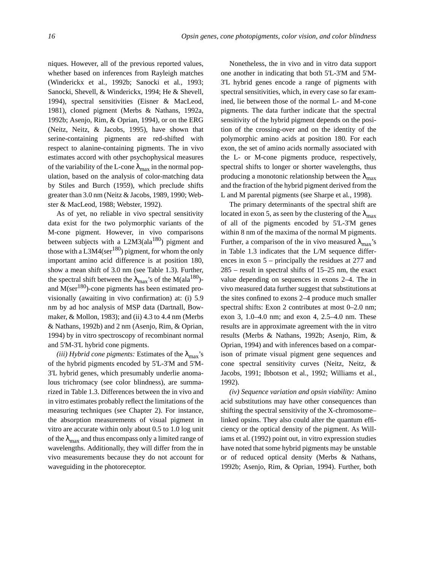niques. However, all of the previous reported values, whether based on inferences from Rayleigh matches (Winderickx et al*.*, 1992b; Sanocki et al*.*, 1993; Sanocki, Shevell, & Winderickx, 1994; He & Shevell, 1994), spectral sensitivities (Eisner & MacLeod, 1981), cloned pigment (Merbs & Nathans, 1992a, 1992b; Asenjo, Rim, & Oprian, 1994), or on the ERG (Neitz, Neitz, & Jacobs, 1995), have shown that serine-containing pigments are red-shifted with respect to alanine-containing pigments. The in vivo estimates accord with other psychophysical measures of the variability of the L-cone  $\lambda_{\text{max}}$  in the normal population, based on the analysis of color-matching data by Stiles and Burch (1959), which preclude shifts greater than 3.0 nm (Neitz & Jacobs, 1989, 1990; Webster & MacLeod, 1988; Webster, 1992).

As of yet, no reliable in vivo spectral sensitivity data exist for the two polymorphic variants of the M-cone pigment. However, in vivo comparisons between subjects with a L2M3(ala<sup>180</sup>) pigment and those with a  $L3M4(\text{ser}^{180})$  pigment, for whom the only important amino acid difference is at position 180, show a mean shift of 3.0 nm (see Table 1.3). Further, the spectral shift between the  $\lambda_{\text{max}}$ 's of the M(ala<sup>180</sup>)and  $M(\text{ser}^{180})$ -cone pigments has been estimated provisionally (awaiting in vivo confirmation) at: (i) 5.9 nm by ad hoc analysis of MSP data (Dartnall, Bowmaker, & Mollon, 1983); and (ii) 4.3 to 4.4 nm (Merbs & Nathans, 1992b) and 2 nm (Asenjo, Rim, & Oprian, 1994) by in vitro spectroscopy of recombinant normal and 5'M-3'L hybrid cone pigments.

*(iii) Hybrid cone pigments:* Estimates of the  $\lambda_{\text{max}}$ 's of the hybrid pigments encoded by 5'L-3'M and 5'M-3'L hybrid genes, which presumably underlie anomalous trichromacy (see color blindness), are summarized in Table 1.3. Differences between the in vivo and in vitro estimates probably reflect the limitations of the measuring techniques (see Chapter 2). For instance, the absorption measurements of visual pigment in vitro are accurate within only about 0.5 to 1.0 log unit of the  $\lambda_{\text{max}}$  and thus encompass only a limited range of wavelengths. Additionally, they will differ from the in vivo measurements because they do not account for waveguiding in the photoreceptor.

Nonetheless, the in vivo and in vitro data support one another in indicating that both 5'L-3'M and 5'M-3'L hybrid genes encode a range of pigments with spectral sensitivities, which, in every case so far examined, lie between those of the normal L- and M-cone pigments. The data further indicate that the spectral sensitivity of the hybrid pigment depends on the position of the crossing-over and on the identity of the polymorphic amino acids at position 180. For each exon, the set of amino acids normally associated with the L- or M-cone pigments produce, respectively, spectral shifts to longer or shorter wavelengths, thus producing a monotonic relationship between the  $\lambda_{\text{max}}$ and the fraction of the hybrid pigment derived from the L and M parental pigments (see Sharpe et al*.*, 1998).

The primary determinants of the spectral shift are located in exon 5, as seen by the clustering of the  $\lambda_{\text{max}}$ of all of the pigments encoded by 5'L-3'M genes within 8 nm of the maxima of the normal M pigments. Further, a comparison of the in vivo measured  $\lambda_{\text{max}}$ 's in Table 1.3 indicates that the L/M sequence differences in exon 5 – principally the residues at 277 and 285 – result in spectral shifts of 15–25 nm, the exact value depending on sequences in exons 2–4. The in vivo measured data further suggest that substitutions at the sites confined to exons 2–4 produce much smaller spectral shifts: Exon 2 contributes at most 0–2.0 nm; exon 3, 1.0–4.0 nm; and exon 4, 2.5–4.0 nm. These results are in approximate agreement with the in vitro results (Merbs & Nathans, 1992b; Asenjo, Rim, & Oprian, 1994) and with inferences based on a comparison of primate visual pigment gene sequences and cone spectral sensitivity curves (Neitz, Neitz, & Jacobs, 1991; Ibbotson et al., 1992; Williams et al*.*, 1992).

*(iv) Sequence variation and opsin viability:* Amino acid substitutions may have other consequences than shifting the spectral sensitivity of the X-chromosome– linked opsins. They also could alter the quantum efficiency or the optical density of the pigment. As Williams et al. (1992) point out, in vitro expression studies have noted that some hybrid pigments may be unstable or of reduced optical density (Merbs & Nathans, 1992b; Asenjo, Rim, & Oprian, 1994). Further, both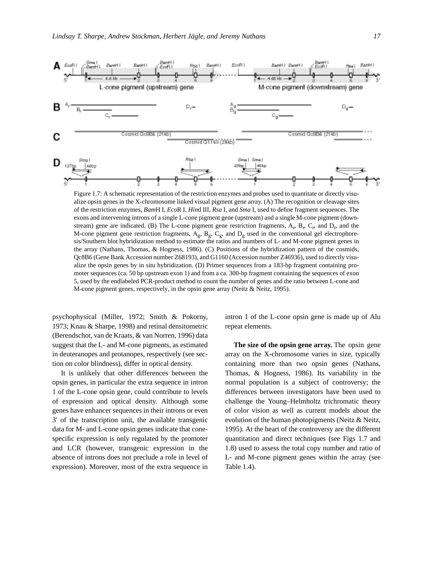

Figure 1.7: A schematic representation of the restriction enzymes and probes used to quantitate or directly visualize opsin genes in the X-chromosome linked visual pigment gene array. (A) The recognition or cleavage sites of the restriction enzymes, *Bam*H I, *Eco*R I, *Hin*d III, *Rsa* I, and *Sma* I, used to define fragment sequences. The exons and intervening introns of a single L-cone pigment gene (upstream) and a single M-cone pigment (downstream) gene are indicated. (B) The L-cone pigment gene restriction fragments,  $A_r$ ,  $B_r$ ,  $C_r$ , and  $D_r$ , and the M-cone pigment gene restriction fragments,  $A_g$ ,  $B_g$ ,  $C_g$ , and  $D_g$  used in the conventional gel electrophoresis/Southern blot hybridization method to estimate the ratios and numbers of L- and M-cone pigment genes in the array (Nathans*,* Thomas, & Hogness, 1986). (C) Positions of the hybridization pattern of the cosmids, Qc8B6 (Gene Bank Accession number Z68193), and G1160 (Accession number Z46936), used to directly visualize the opsin genes by in situ hybridization. (D) Primer sequences from a 183-bp fragment containing promoter sequences (ca. 50 bp upstream exon 1) and from a ca. 300-bp fragment containing the sequences of exon 5, used by the endlabeled PCR-product method to count the number of genes and the ratio between L-cone and M-cone pigment genes, respectively, in the opsin gene array (Neitz & Neitz, 1995).

psychophysical (Miller, 1972; Smith & Pokorny, 1973; Knau & Sharpe, 1998) and retinal densitometric (Berendschot, van de Kraats, & van Norren, 1996) data suggest that the L- and M-cone pigments, as estimated in deuteranopes and protanopes, respectively (see section on color blindness), differ in optical density.

It is unlikely that other differences between the opsin genes, in particular the extra sequence in intron 1 of the L-cone opsin gene, could contribute to levels of expression and optical density. Although some genes have enhancer sequences in their introns or even 3' of the transcription unit, the available transgenic data for M- and L-cone opsin genes indicate that conespecific expression is only regulated by the promoter and LCR (however, transgenic expression in the absence of introns does not preclude a role in level of expression). Moreover, most of the extra sequence in intron 1 of the L-cone opsin gene is made up of Alu repeat elements.

**The size of the opsin gene array.** The opsin gene array on the X-chromosome varies in size, typically containing more than two opsin genes (Nathans*,* Thomas, & Hogness, 1986). Its variability in the normal population is a subject of controversy; the differences between investigators have been used to challenge the Young–Helmholtz trichromatic theory of color vision as well as current models about the evolution of the human photopigments (Neitz & Neitz, 1995). At the heart of the controversy are the different quantitation and direct techniques (see Figs 1.7 and 1.8) used to assess the total copy number and ratio of L- and M-cone pigment genes within the array (see Table 1.4).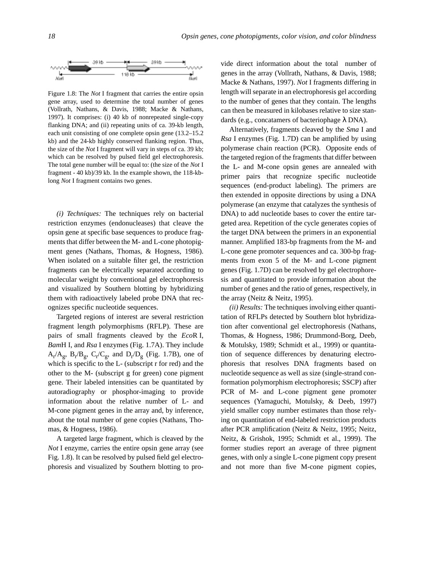

Figure 1.8: The *Not* I fragment that carries the entire opsin gene array, used to determine the total number of genes (Vollrath, Nathans, & Davis, 1988; Macke & Nathans, 1997). It comprises: (i) 40 kb of nonrepeated single-copy flanking DNA; and (ii) repeating units of ca. 39-kb length, each unit consisting of one complete opsin gene (13.2–15.2 kb) and the 24-kb highly conserved flanking region. Thus, the size of the *Not* I fragment will vary in steps of ca. 39 kb; which can be resolved by pulsed field gel electrophoresis. The total gene number will be equal to: (the size of the *Not* I fragment - 40 kb)/39 kb. In the example shown, the 118-kblong *Not* I fragment contains two genes.

*(i) Techniques:* The techniques rely on bacterial restriction enzymes (endonucleases) that cleave the opsin gene at specific base sequences to produce fragments that differ between the M- and L-cone photopigment genes (Nathans, Thomas, & Hogness, 1986). When isolated on a suitable filter gel, the restriction fragments can be electrically separated according to molecular weight by conventional gel electrophoresis and visualized by Southern blotting by hybridizing them with radioactively labeled probe DNA that recognizes specific nucleotide sequences.

Targeted regions of interest are several restriction fragment length polymorphisms (RFLP). These are pairs of small fragments cleaved by the *Eco*R I, *Bam*H I, and *Rsa* I enzymes (Fig. 1.7A). They include  $A_r/A_g$ ,  $B_r/B_g$ ,  $C_r/C_g$ , and  $D_r/D_g$  (Fig. 1.7B), one of which is specific to the L- (subscript r for red) and the other to the M- (subscript g for green) cone pigment gene. Their labeled intensities can be quantitated by autoradiography or phosphor-imaging to provide information about the relative number of L- and M-cone pigment genes in the array and, by inference, about the total number of gene copies (Nathans, Thomas, & Hogness*,* 1986).

A targeted large fragment, which is cleaved by the *Not* I enzyme, carries the entire opsin gene array (see Fig. 1.8). It can be resolved by pulsed field gel electrophoresis and visualized by Southern blotting to provide direct information about the total number of genes in the array (Vollrath, Nathans, & Davis, 1988; Macke & Nathans, 1997). *Not* I fragments differing in length will separate in an electrophoresis gel according to the number of genes that they contain. The lengths can then be measured in kilobases relative to size standards (e.g., concatamers of bacteriophage λ DNA).

Alternatively, fragments cleaved by the *Sma* I and *Rsa* I enzymes (Fig. 1.7D) can be amplified by using polymerase chain reaction (PCR). Opposite ends of the targeted region of the fragments that differ between the L- and M-cone opsin genes are annealed with primer pairs that recognize specific nucleotide sequences (end-product labeling). The primers are then extended in opposite directions by using a DNA polymerase (an enzyme that catalyzes the synthesis of DNA) to add nucleotide bases to cover the entire targeted area. Repetition of the cycle generates copies of the target DNA between the primers in an exponential manner. Amplified 183-bp fragments from the M- and L-cone gene promoter sequences and ca. 300-bp fragments from exon 5 of the M- and L-cone pigment genes (Fig. 1.7D) can be resolved by gel electrophoresis and quantitated to provide information about the number of genes and the ratio of genes, respectively, in the array (Neitz & Neitz, 1995).

*(ii) Results:* The techniques involving either quantitation of RFLPs detected by Southern blot hybridization after conventional gel electrophoresis (Nathans, Thomas, & Hogness, 1986; Drummond-Borg, Deeb, & Motulsky, 1989; Schmidt et al*.*, 1999) or quantitation of sequence differences by denaturing electrophoresis that resolves DNA fragments based on nucleotide sequence as well as size (single-strand conformation polymorphism electrophoresis; SSCP) after PCR of M- and L-cone pigment gene promoter sequences (Yamaguchi*,* Motulsky, & Deeb, 1997) yield smaller copy number estimates than those relying on quantitation of end-labeled restriction products after PCR amplification (Neitz & Neitz, 1995; Neitz, Neitz, & Grishok, 1995; Schmidt et al., 1999). The former studies report an average of three pigment genes, with only a single L-cone pigment copy present and not more than five M-cone pigment copies,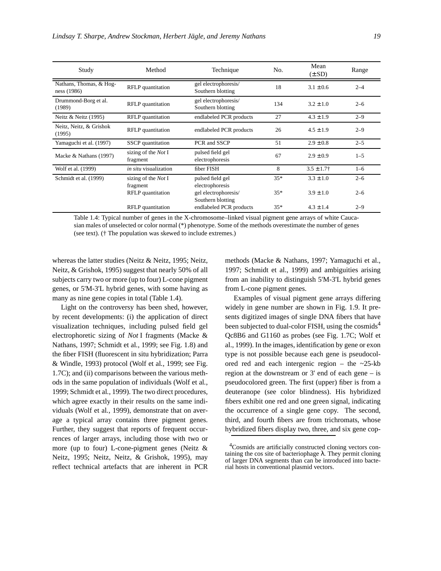| Study                                  | Method                                 | Technique                                 | No.   | Mean<br>$(\pm SD)$ | Range   |
|----------------------------------------|----------------------------------------|-------------------------------------------|-------|--------------------|---------|
| Nathans, Thomas, & Hog-<br>ness (1986) | <b>RFLP</b> quantitation               | gel electrophoresis/<br>Southern blotting | 18    | $3.1 \pm 0.6$      | $2 - 4$ |
| Drummond-Borg et al.<br>(1989)         | RFLP quantitation                      | gel electrophoresis/<br>Southern blotting | 134   | $3.2 \pm 1.0$      | $2 - 6$ |
| Neitz & Neitz (1995)                   | RFLP quantitation                      | endlabeled PCR products                   | 27    | $4.3 \pm 1.9$      | $2 - 9$ |
| Neitz, Neitz, & Grishok<br>(1995)      | <b>RFLP</b> quantitation               | endlabeled PCR products                   | 26    | $4.5 \pm 1.9$      | $2 - 9$ |
| Yamaguchi et al. (1997)                | SSCP quantitation                      | PCR and SSCP                              | 51    | $2.9 \pm 0.8$      | $2 - 5$ |
| Macke & Nathans (1997)                 | sizing of the <i>Not</i> I<br>fragment | pulsed field gel<br>electrophoresis       | 67    | $2.9 \pm 0.9$      | $1 - 5$ |
| Wolf et al. (1999)                     | <i>in situ</i> visualization           | fiber FISH                                | 8     | $3.5 \pm 1.7$      | $1 - 6$ |
| Schmidt et al. (1999)                  | sizing of the <i>Not</i> I<br>fragment | pulsed field gel<br>electrophoresis       | $35*$ | $3.3 \pm 1.0$      | $2 - 6$ |
|                                        | <b>RFLP</b> quantitation               | gel electrophoresis/<br>Southern blotting | $35*$ | $3.9 \pm 1.0$      | $2 - 6$ |
|                                        | <b>RFLP</b> quantitation               | endlabeled PCR products                   | $35*$ | $4.3 \pm 1.4$      | $2 - 9$ |

Table 1.4: Typical number of genes in the X-chromosome–linked visual pigment gene arrays of white Caucasian males of unselected or color normal (\*) phenotype. Some of the methods overestimate the number of genes (see text). († The population was skewed to include extremes.)

whereas the latter studies (Neitz & Neitz, 1995; Neitz*,* Neitz, & Grishok, 1995) suggest that nearly 50% of all subjects carry two or more (up to four) L-cone pigment genes, or 5'M-3'L hybrid genes, with some having as many as nine gene copies in total (Table 1.4).

Light on the controversy has been shed, however, by recent developments: (i) the application of direct visualization techniques, including pulsed field gel electrophoretic sizing of *Not* I fragments (Macke & Nathans, 1997; Schmidt et al*.*, 1999; see Fig. 1.8) and the fiber FISH (fluorescent in situ hybridization; Parra & Windle, 1993) protocol (Wolf et al*.*, 1999; see Fig. 1.7C); and (ii) comparisons between the various methods in the same population of individuals (Wolf et al*.*, 1999; Schmidt et al*.*, 1999). The two direct procedures, which agree exactly in their results on the same individuals (Wolf et al*.*, 1999), demonstrate that on average a typical array contains three pigment genes. Further, they suggest that reports of frequent occurrences of larger arrays, including those with two or more (up to four) L-cone-pigment genes (Neitz & Neitz, 1995; Neitz, Neitz, & Grishok, 1995), may reflect technical artefacts that are inherent in PCR methods (Macke & Nathans, 1997; Yamaguchi et al., 1997; Schmidt et al., 1999) and ambiguities arising from an inability to distinguish 5'M-3'L hybrid genes from L-cone pigment genes.

Examples of visual pigment gene arrays differing widely in gene number are shown in Fig. 1.9. It presents digitized images of single DNA fibers that have been subjected to dual-color FISH, using the cosmids<sup>4</sup> Qc8B6 and G1160 as probes (see Fig. 1.7C; Wolf et al., 1999). In the images, identification by gene or exon type is not possible because each gene is pseudocolored red and each intergenic region – the ~25-kb region at the downstream or 3' end of each gene – is pseudocolored green. The first (upper) fiber is from a deuteranope (see color blindness). His hybridized fibers exhibit one red and one green signal, indicating the occurrence of a single gene copy. The second, third, and fourth fibers are from trichromats, whose hybridized fibers display two, three, and six gene cop-

<sup>&</sup>lt;sup>4</sup>Cosmids are artificially constructed cloning vectors containing the cos site of bacteriophage  $\lambda$ . They permit cloning of larger DNA segments than can be introduced into bacterial hosts in conventional plasmid vectors.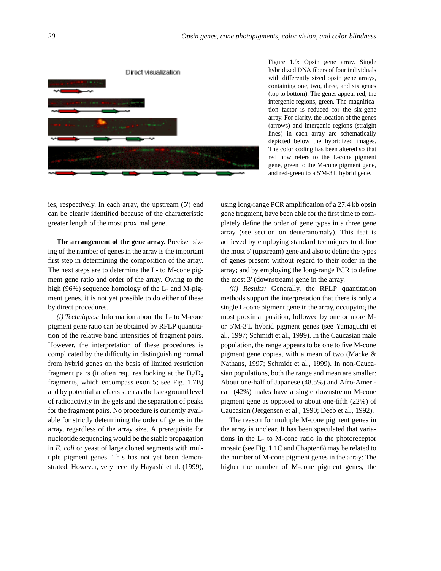

Figure 1.9: Opsin gene array. Single hybridized DNA fibers of four individuals with differently sized opsin gene arrays, containing one, two, three, and six genes (top to bottom). The genes appear red; the intergenic regions, green. The magnification factor is reduced for the six-gene array. For clarity, the location of the genes (arrows) and intergenic regions (straight lines) in each array are schematically depicted below the hybridized images. The color coding has been altered so that red now refers to the L-cone pigment gene, green to the M-cone pigment gene, and red-green to a 5'M-3'L hybrid gene.

ies, respectively. In each array, the upstream (5') end can be clearly identified because of the characteristic greater length of the most proximal gene.

**The arrangement of the gene array.** Precise sizing of the number of genes in the array is the important first step in determining the composition of the array. The next steps are to determine the L- to M-cone pigment gene ratio and order of the array. Owing to the high (96%) sequence homology of the L- and M-pigment genes, it is not yet possible to do either of these by direct procedures.

*(i) Techniques:* Information about the L- to M-cone pigment gene ratio can be obtained by RFLP quantitation of the relative band intensities of fragment pairs. However, the interpretation of these procedures is complicated by the difficulty in distinguishing normal from hybrid genes on the basis of limited restriction fragment pairs (it often requires looking at the  $D_r/D_\sigma$ fragments, which encompass exon 5; see Fig. 1.7B) and by potential artefacts such as the background level of radioactivity in the gels and the separation of peaks for the fragment pairs. No procedure is currently available for strictly determining the order of genes in the array, regardless of the array size. A prerequisite for nucleotide sequencing would be the stable propagation in *E. coli* or yeast of large cloned segments with multiple pigment genes. This has not yet been demonstrated. However, very recently Hayashi et al. (1999),

using long-range PCR amplification of a 27.4 kb opsin gene fragment, have been able for the first time to completely define the order of gene types in a three gene array (see section on deuteranomaly). This feat is achieved by employing standard techniques to define the most 5' (upstream) gene and also to define the types of genes present without regard to their order in the array; and by employing the long-range PCR to define the most 3' (downstream) gene in the array.

*(ii) Results:* Generally, the RFLP quantitation methods support the interpretation that there is only a single L-cone pigment gene in the array, occupying the most proximal position, followed by one or more Mor 5'M-3'L hybrid pigment genes (see Yamaguchi et al., 1997; Schmidt et al., 1999). In the Caucasian male population, the range appears to be one to five M-cone pigment gene copies, with a mean of two (Macke & Nathans, 1997; Schmidt et al., 1999). In non-Caucasian populations, both the range and mean are smaller: About one-half of Japanese (48.5%) and Afro-American (42%) males have a single downstream M-cone pigment gene as opposed to about one-fifth (22%) of Caucasian (Jørgensen et al., 1990; Deeb et al*.*, 1992).

The reason for multiple M-cone pigment genes in the array is unclear. It has been speculated that variations in the L- to M-cone ratio in the photoreceptor mosaic (see Fig. 1.1C and Chapter 6) may be related to the number of M-cone pigment genes in the array: The higher the number of M-cone pigment genes, the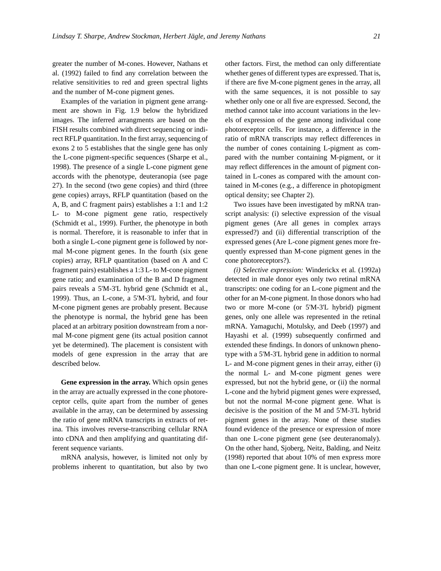greater the number of M-cones. However, Nathans et al*.* (1992) failed to find any correlation between the relative sensitivities to red and green spectral lights and the number of M-cone pigment genes.

Examples of the variation in pigment gene arrangment are shown in Fig. 1.9 below the hybridized images. The inferred arrangments are based on the FISH results combined with direct sequencing or indirect RFLP quantitation. In the first array, sequencing of exons 2 to 5 establishes that the single gene has only the L-cone pigment-specific sequences (Sharpe et al., 1998). The presence of a single L-cone pigment gene accords with the phenotype, deuteranopia (see page 27). In the second (two gene copies) and third (three gene copies) arrays, RFLP quantitation (based on the A, B, and C fragment pairs) establishes a 1:1 and 1:2 L- to M-cone pigment gene ratio, respectively (Schmidt et al., 1999). Further, the phenotype in both is normal. Therefore, it is reasonable to infer that in both a single L-cone pigment gene is followed by normal M-cone pigment genes. In the fourth (six gene copies) array, RFLP quantitation (based on A and C fragment pairs) establishes a 1:3 L- to M-cone pigment gene ratio; and examination of the B and D fragment pairs reveals a 5'M-3'L hybrid gene (Schmidt et al*.*, 1999). Thus, an L-cone, a 5'M-3'L hybrid, and four M-cone pigment genes are probably present. Because the phenotype is normal, the hybrid gene has been placed at an arbitrary position downstream from a normal M-cone pigment gene (its actual position cannot yet be determined). The placement is consistent with models of gene expression in the array that are described below.

**Gene expression in the array.** Which opsin genes in the array are actually expressed in the cone photoreceptor cells, quite apart from the number of genes available in the array, can be determined by assessing the ratio of gene mRNA transcripts in extracts of retina. This involves reverse-transcribing cellular RNA into cDNA and then amplifying and quantitating different sequence variants.

mRNA analysis, however, is limited not only by problems inherent to quantitation, but also by two other factors. First, the method can only differentiate whether genes of different types are expressed. That is, if there are five M-cone pigment genes in the array, all with the same sequences, it is not possible to say whether only one or all five are expressed. Second, the method cannot take into account variations in the levels of expression of the gene among individual cone photoreceptor cells. For instance, a difference in the ratio of mRNA transcripts may reflect differences in the number of cones containing L-pigment as compared with the number containing M-pigment, or it may reflect differences in the amount of pigment contained in L-cones as compared with the amount contained in M-cones (e.g., a difference in photopigment optical density; see Chapter 2).

Two issues have been investigated by mRNA transcript analysis: (i) selective expression of the visual pigment genes (Are all genes in complex arrays expressed?) and (ii) differential transcription of the expressed genes (Are L-cone pigment genes more frequently expressed than M-cone pigment genes in the cone photoreceptors?).

*(i) Selective expression:* Winderickx et al*.* (1992a) detected in male donor eyes only two retinal mRNA transcripts: one coding for an L-cone pigment and the other for an M-cone pigment. In those donors who had two or more M-cone (or 5'M-3'L hybrid) pigment genes, only one allele was represented in the retinal mRNA. Yamaguchi*,* Motulsky, and Deeb (1997) and Hayashi et al. (1999) subsequently confirmed and extended these findings. In donors of unknown phenotype with a 5'M-3'L hybrid gene in addition to normal L- and M-cone pigment genes in their array, either (i) the normal L- and M-cone pigment genes were expressed, but not the hybrid gene, or (ii) the normal L-cone and the hybrid pigment genes were expressed, but not the normal M-cone pigment gene. What is decisive is the position of the M and 5'M-3'L hybrid pigment genes in the array. None of these studies found evidence of the presence or expression of more than one L-cone pigment gene (see deuteranomaly). On the other hand, Sjoberg, Neitz, Balding, and Neitz (1998) reported that about 10% of men express more than one L-cone pigment gene. It is unclear, however,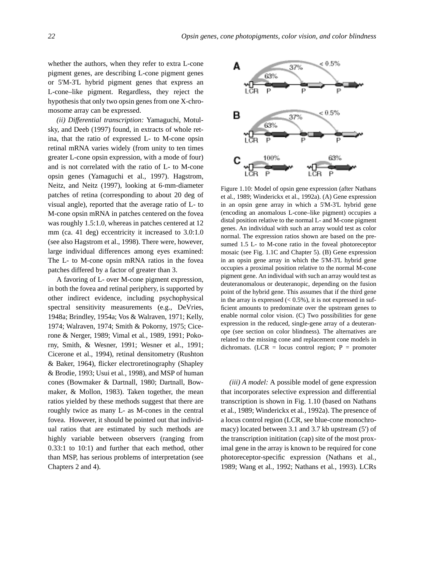whether the authors, when they refer to extra L-cone pigment genes, are describing L-cone pigment genes or 5'M-3'L hybrid pigment genes that express an L-cone–like pigment. Regardless, they reject the hypothesis that only two opsin genes from one X-chromosome array can be expressed.

*(ii) Differential transcription:* Yamaguchi, Motulsky, and Deeb (1997) found, in extracts of whole retina, that the ratio of expressed L- to M-cone opsin retinal mRNA varies widely (from unity to ten times greater L-cone opsin expression, with a mode of four) and is not correlated with the ratio of L- to M-cone opsin genes (Yamaguchi et al., 1997). Hagstrom, Neitz, and Neitz (1997), looking at 6-mm-diameter patches of retina (corresponding to about 20 deg of visual angle), reported that the average ratio of L- to M-cone opsin mRNA in patches centered on the fovea was roughly 1.5:1.0, whereas in patches centered at 12 mm (ca. 41 deg) eccentricity it increased to  $3.0:1.0$ (see also Hagstrom et al., 1998). There were, however, large individual differences among eyes examined: The L- to M-cone opsin mRNA ratios in the fovea patches differed by a factor of greater than 3.

A favoring of L- over M-cone pigment expression, in both the fovea and retinal periphery, is supported by other indirect evidence, including psychophysical spectral sensitivity measurements (e.g., DeVries, 1948a; Brindley, 1954a; Vos & Walraven, 1971; Kelly, 1974; Walraven, 1974; Smith & Pokorny, 1975; Cicerone & Nerger, 1989; Vimal et al*.*, 1989, 1991; Pokorny, Smith, & Wesner, 1991; Wesner et al., 1991; Cicerone et al., 1994), retinal densitometry (Rushton & Baker, 1964), flicker electroretinography (Shapley & Brodie, 1993; Usui et al*.*, 1998), and MSP of human cones (Bowmaker & Dartnall, 1980; Dartnall, Bowmaker, & Mollon, 1983). Taken together, the mean ratios yielded by these methods suggest that there are roughly twice as many L- as M-cones in the central fovea. However, it should be pointed out that individual ratios that are estimated by such methods are highly variable between observers (ranging from 0.33:1 to 10:1) and further that each method, other than MSP, has serious problems of interpretation (see Chapters 2 and 4).



Figure 1.10: Model of opsin gene expression (after Nathans et al*.*, 1989; Winderickx et al., 1992a). (A) Gene expression in an opsin gene array in which a 5'M-3'L hybrid gene (encoding an anomalous L-cone–like pigment) occupies a distal position relative to the normal L- and M-cone pigment genes. An individual with such an array would test as color normal. The expression ratios shown are based on the presumed 1.5 L- to M-cone ratio in the foveal photoreceptor mosaic (see Fig. 1.1C and Chapter 5). (B) Gene expression in an opsin gene array in which the 5'M-3'L hybrid gene occupies a proximal position relative to the normal M-cone pigment gene. An individual with such an array would test as deuteranomalous or deuteranopic, depending on the fusion point of the hybrid gene. This assumes that if the third gene in the array is expressed  $(< 0.5\%)$ , it is not expressed in sufficient amounts to predominate over the upstream genes to enable normal color vision. (C) Two possibilities for gene expression in the reduced, single-gene array of a deuteranope (see section on color blindness). The alternatives are related to the missing cone and replacement cone models in dichromats. (LCR = locus control region;  $P =$  promoter

*(iii) A model:* A possible model of gene expression that incorporates selective expression and differential transcription is shown in Fig. 1.10 (based on Nathans et al*.*, 1989; Winderickx et al*.*, 1992a). The presence of a locus control region (LCR, see blue-cone monochromacy) located between 3.1 and 3.7 kb upstream (5') of the transcription inititation (cap) site of the most proximal gene in the array is known to be required for cone photoreceptor-specific expression (Nathans et al*.*, 1989; Wang et al*.*, 1992; Nathans et al*.*, 1993). LCRs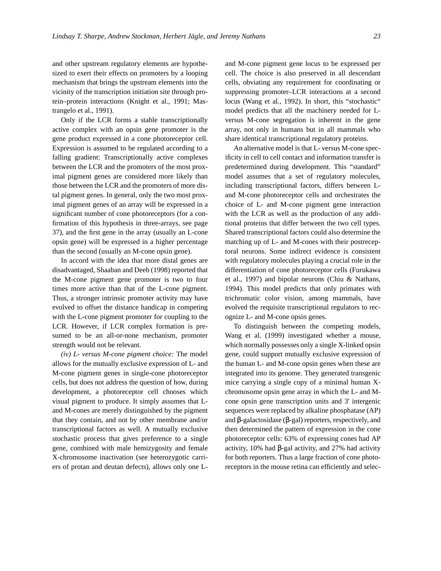and other upstream regulatory elements are hypothesized to exert their effects on promoters by a looping mechanism that brings the upstream elements into the vicinity of the transcription initiation site through protein–protein interactions (Knight et al., 1991; Mastrangelo et al., 1991).

Only if the LCR forms a stable transcriptionally active complex with an opsin gene promoter is the gene product expressed in a cone photoreceptor cell. Expression is assumed to be regulated according to a falling gradient: Transcriptionally active complexes between the LCR and the promoters of the most proximal pigment genes are considered more likely than those between the LCR and the promoters of more distal pigment genes. In general, only the two most proximal pigment genes of an array will be expressed in a significant number of cone photoreceptors (for a confirmation of this hypothesis in three-arrays, see page 37), and the first gene in the array (usually an L-cone opsin gene) will be expressed in a higher percentage than the second (usually an M-cone opsin gene).

In accord with the idea that more distal genes are disadvantaged, Shaaban and Deeb (1998) reported that the M-cone pigment gene promoter is two to four times more active than that of the L-cone pigment. Thus, a stronger intrinsic promoter activity may have evolved to offset the distance handicap in competing with the L-cone pigment promoter for coupling to the LCR. However, if LCR complex formation is presumed to be an all-or-none mechanism, promoter strength would not be relevant.

*(iv) L- versus M-cone pigment choice:* The model allows for the mutually exclusive expression of L- and M-cone pigment genes in single-cone photoreceptor cells, but does not address the question of how, during development, a photoreceptor cell chooses which visual pigment to produce. It simply assumes that Land M-cones are merely distinguished by the pigment that they contain, and not by other membrane and/or transcriptional factors as well. A mutually exclusive stochastic process that gives preference to a single gene, combined with male hemizygosity and female X-chromosome inactivation (see heterozygotic carriers of protan and deutan defects), allows only one L- and M-cone pigment gene locus to be expressed per cell. The choice is also preserved in all descendant cells, obviating any requirement for coordinating or suppressing promoter–LCR interactions at a second locus (Wang et al*.*, 1992). In short, this "stochastic" model predicts that all the machinery needed for Lversus M-cone segregation is inherent in the gene array, not only in humans but in all mammals who share identical transcriptional regulatory proteins.

An alternative model is that L- versus M-cone specificity in cell to cell contact and information transfer is predetermined during development. This "standard" model assumes that a set of regulatory molecules, including transcriptional factors, differs between Land M-cone photoreceptor cells and orchestrates the choice of L- and M-cone pigment gene interaction with the LCR as well as the production of any additional proteins that differ between the two cell types. Shared transcriptional factors could also determine the matching up of L- and M-cones with their postreceptoral neurons. Some indirect evidence is consistent with regulatory molecules playing a crucial role in the differentiation of cone photoreceptor cells (Furukawa et al., 1997) and bipolar neurons (Chiu & Nathans, 1994). This model predicts that only primates with trichromatic color vision, among mammals, have evolved the requisite transcriptional regulators to recognize L- and M-cone opsin genes.

To distinguish between the competing models, Wang et al. (1999) investigated whether a mouse, which normally possesses only a single X-linked opsin gene, could support mutually exclusive expression of the human L- and M-cone opsin genes when these are integrated into its genome. They generated transgenic mice carrying a single copy of a minimal human Xchromosome opsin gene array in which the L- and Mcone opsin gene transcription units and 3' intergenic sequences were replaced by alkaline phosphatase (AP) and β-galactosidase (β-gal) reporters, respectively, and then determined the pattern of expression in the cone photoreceptor cells: 63% of expressing cones had AP activity, 10% had  $β$ -gal activity, and 27% had activity for both reporters. Thus a large fraction of cone photoreceptors in the mouse retina can efficiently and selec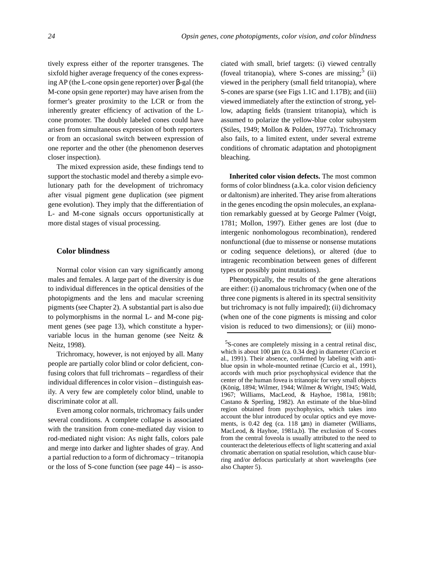tively express either of the reporter transgenes. The sixfold higher average frequency of the cones expressing AP (the L-cone opsin gene reporter) over β-gal (the M-cone opsin gene reporter) may have arisen from the former's greater proximity to the LCR or from the inherently greater efficiency of activation of the Lcone promoter. The doubly labeled cones could have arisen from simultaneous expression of both reporters or from an occasional switch between expression of one reporter and the other (the phenomenon deserves closer inspection).

The mixed expression aside, these findings tend to support the stochastic model and thereby a simple evolutionary path for the development of trichromacy after visual pigment gene duplication (see pigment gene evolution). They imply that the differentiation of L- and M-cone signals occurs opportunistically at more distal stages of visual processing.

#### **Color blindness**

Normal color vision can vary significantly among males and females. A large part of the diversity is due to individual differences in the optical densities of the photopigments and the lens and macular screening pigments (see Chapter 2). A substantial part is also due to polymorphisms in the normal L- and M-cone pigment genes (see page 13), which constitute a hypervariable locus in the human genome (see Neitz & Neitz, 1998).

Trichromacy, however, is not enjoyed by all. Many people are partially color blind or color deficient, confusing colors that full trichromats – regardless of their individual differences in color vision – distinguish easily. A very few are completely color blind, unable to discriminate color at all.

Even among color normals, trichromacy fails under several conditions. A complete collapse is associated with the transition from cone-mediated day vision to rod-mediated night vision: As night falls, colors pale and merge into darker and lighter shades of gray. And a partial reduction to a form of dichromacy – tritanopia or the loss of S-cone function (see page 44) – is associated with small, brief targets: (i) viewed centrally (foveal tritanopia), where S-cones are missing;  $5$  (ii) viewed in the periphery (small field tritanopia), where S-cones are sparse (see Figs 1.1C and 1.17B); and (iii) viewed immediately after the extinction of strong, yellow, adapting fields (transient tritanopia), which is assumed to polarize the yellow-blue color subsystem (Stiles, 1949; Mollon & Polden, 1977a). Trichromacy also fails, to a limited extent, under several extreme conditions of chromatic adaptation and photopigment bleaching.

**Inherited color vision defects.** The most common forms of color blindness (a.k.a. color vision deficiency or daltonism) are inherited. They arise from alterations in the genes encoding the opsin molecules, an explanation remarkably guessed at by George Palmer (Voigt, 1781; Mollon, 1997). Either genes are lost (due to intergenic nonhomologous recombination), rendered nonfunctional (due to missense or nonsense mutations or coding sequence deletions), or altered (due to intragenic recombination between genes of different types or possibly point mutations).

Phenotypically, the results of the gene alterations are either: (i) anomalous trichromacy (when one of the three cone pigments is altered in its spectral sensitivity but trichromacy is not fully impaired); (ii) dichromacy (when one of the cone pigments is missing and color vision is reduced to two dimensions); or (iii) mono-

<sup>5</sup>S-cones are completely missing in a central retinal disc, which is about  $100 \mu m$  (ca. 0.34 deg) in diameter (Curcio et al*.*, 1991). Their absence, confirmed by labeling with antiblue opsin in whole-mounted retinae (Curcio et al., 1991), accords with much prior psychophysical evidence that the center of the human fovea is tritanopic for very small objects (König, 1894; Wilmer, 1944; Wilmer & Wright, 1945; Wald, 1967; Williams, MacLeod, & Hayhoe, 1981a, 1981b; Castano & Sperling, 1982). An estimate of the blue-blind region obtained from psychophysics, which takes into account the blur introduced by ocular optics and eye movements, is 0.42 deg (ca. 118 µm) in diameter (Williams*,* MacLeod, & Hayhoe, 1981a,b). The exclusion of S-cones from the central foveola is usually attributed to the need to counteract the deleterious effects of light scattering and axial chromatic aberration on spatial resolution, which cause blurring and/or defocus particularly at short wavelengths (see also Chapter 5).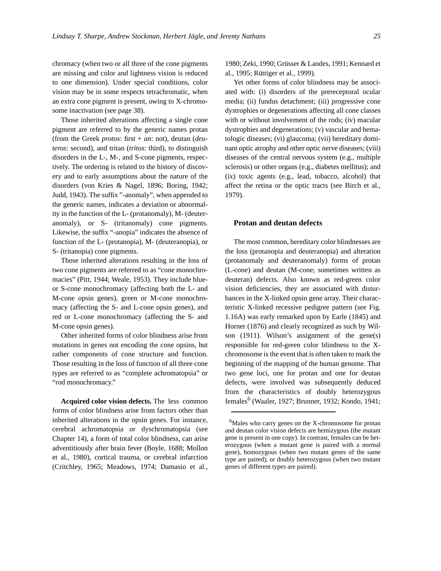chromacy (when two or all three of the cone pigments are missing and color and lightness vision is reduced to one dimension). Under special conditions, color vision may be in some respects tetrachromatic, when an extra cone pigment is present, owing to X-chromosome inactivation (see page 38).

Those inherited alterations affecting a single cone pigment are referred to by the generic names protan (from the Greek *protos*: first + *an*: not), deutan (*deuteros*: second), and tritan (*tritos*: third), to distinguish disorders in the L-, M-, and S-cone pigments, respectively. The ordering is related to the history of discovery and to early assumptions about the nature of the disorders (von Kries & Nagel, 1896; Boring, 1942; Judd, 1943). The suffix "-anomaly", when appended to the generic names, indicates a deviation or abnormality in the function of the L- (protanomaly), M- (deuteranomaly), or S- (tritanomaly) cone pigments. Likewise, the suffix "-anopia" indicates the absence of function of the L- (protanopia), M- (deuteranopia), or S- (tritanopia) cone pigments.

Those inherited alterations resulting in the loss of two cone pigments are referred to as "cone monochromacies" (Pitt, 1944; Weale, 1953). They include blueor S-cone monochromacy (affecting both the L- and M-cone opsin genes), green or M-cone monochromacy (affecting the S- and L-cone opsin genes), and red or L-cone monochromacy (affecting the S- and M-cone opsin genes).

Other inherited forms of color blindness arise from mutations in genes not encoding the cone opsins, but rather components of cone structure and function. Those resulting in the loss of function of all three cone types are referred to as "complete achromatopsia" or "rod monochromacy."

**Acquired color vision defects.** The less common forms of color blindness arise from factors other than inherited alterations in the opsin genes. For instance, cerebral achromatopsia or dyschromatopsia (see Chapter 14), a form of total color blindness, can arise adventitiously after brain fever (Boyle, 1688; Mollon et al*.*, 1980), cortical trauma, or cerebral infarction (Critchley, 1965; Meadows, 1974; Damasio et al*.*, 1980; Zeki, 1990; Grüsser & Landes, 1991; Kennard et al*.*, 1995; Rüttiger et al*.*, 1999).

Yet other forms of color blindness may be associated with: (i) disorders of the prereceptoral ocular media; (ii) fundus detachment; (iii) progressive cone dystrophies or degenerations affecting all cone classes with or without involvement of the rods; (iv) macular dystrophies and degenerations; (v) vascular and hematologic diseases; (vi) glaucoma; (vii) hereditary dominant optic atrophy and other optic nerve diseases; (viii) diseases of the central nervous system (e.g., multiple sclerosis) or other organs (e.g., diabetes mellitus); and (ix) toxic agents (e.g., lead, tobacco, alcohol) that affect the retina or the optic tracts (see Birch et al*.*, 1979).

## **Protan and deutan defects**

The most common, hereditary color blindnesses are the loss (protanopia and deuteranopia) and alteration (protanomaly and deuteranomaly) forms of protan (L-cone) and deutan (M-cone; sometimes written as deuteran) defects. Also known as red-green color vision deficiencies, they are associated with disturbances in the X-linked opsin gene array. Their characteristic X-linked recessive pedigree pattern (see Fig. 1.16A) was early remarked upon by Earle (1845) and Horner (1876) and clearly recognized as such by Wilson (1911). Wilson's assignment of the gene(s) responsible for red-green color blindness to the Xchromosome is the event that is often taken to mark the beginning of the mapping of the human genome. That two gene loci, one for protan and one for deutan defects, were involved was subsequently deduced from the characteristics of doubly heterozygous females6 (Waaler, 1927; Brunner, 1932; Kondo, 1941;

<sup>&</sup>lt;sup>6</sup>Males who carry genes on the X-chromosome for protan and deutan color vision defects are hemizygous (the mutant gene is present in one copy). In contrast, females can be heterozygous (when a mutant gene is paired with a normal gene), homozygous (when two mutant genes of the same type are paired), or doubly heterozygous (when two mutant genes of different types are paired).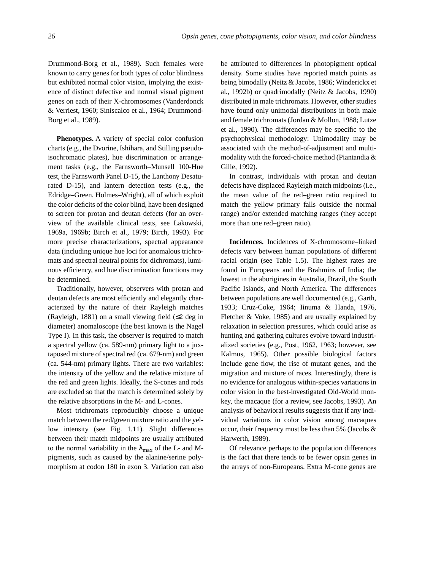Drummond-Borg et al., 1989). Such females were known to carry genes for both types of color blindness but exhibited normal color vision, implying the existence of distinct defective and normal visual pigment genes on each of their X-chromosomes (Vanderdonck & Verriest, 1960; Siniscalco et al., 1964; Drummond-Borg et al.*,* 1989).

**Phenotypes.** A variety of special color confusion charts (e.g., the Dvorine, Ishihara, and Stilling pseudoisochromatic plates), hue discrimination or arrangement tasks (e.g., the Farnsworth–Munsell 100-Hue test, the Farnsworth Panel D-15, the Lanthony Desaturated D-15), and lantern detection tests (e.g., the Edridge–Green, Holmes–Wright), all of which exploit the color deficits of the color blind, have been designed to screen for protan and deutan defects (for an overview of the available clinical tests, see Lakowski, 1969a, 1969b; Birch et al., 1979; Birch, 1993). For more precise characterizations, spectral appearance data (including unique hue loci for anomalous trichromats and spectral neutral points for dichromats), luminous efficiency, and hue discrimination functions may be determined.

Traditionally, however, observers with protan and deutan defects are most efficiently and elegantly characterized by the nature of their Rayleigh matches (Rayleigh, 1881) on a small viewing field  $(\leq 2$  deg in diameter) anomaloscope (the best known is the Nagel Type I). In this task, the observer is required to match a spectral yellow (ca. 589-nm) primary light to a juxtaposed mixture of spectral red (ca. 679-nm) and green (ca. 544-nm) primary lights. There are two variables: the intensity of the yellow and the relative mixture of the red and green lights. Ideally, the S-cones and rods are excluded so that the match is determined solely by the relative absorptions in the M- and L-cones.

Most trichromats reproducibly choose a unique match between the red/green mixture ratio and the yellow intensity (see Fig. 1.11). Slight differences between their match midpoints are usually attributed to the normal variability in the  $\lambda_{\text{max}}$  of the L- and Mpigments, such as caused by the alanine/serine polymorphism at codon 180 in exon 3. Variation can also be attributed to differences in photopigment optical density. Some studies have reported match points as being bimodally (Neitz & Jacobs, 1986; Winderickx et al*.*, 1992b) or quadrimodally (Neitz & Jacobs, 1990) distributed in male trichromats. However, other studies have found only unimodal distributions in both male and female trichromats (Jordan & Mollon, 1988; Lutze et al., 1990). The differences may be specific to the psychophysical methodology: Unimodality may be associated with the method-of-adjustment and multimodality with the forced-choice method (Piantandia & Gille, 1992).

In contrast, individuals with protan and deutan defects have displaced Rayleigh match midpoints (i.e., the mean value of the red–green ratio required to match the yellow primary falls outside the normal range) and/or extended matching ranges (they accept more than one red–green ratio).

**Incidences.** Incidences of X-chromosome–linked defects vary between human populations of different racial origin (see Table 1.5). The highest rates are found in Europeans and the Brahmins of India; the lowest in the aborigines in Australia, Brazil, the South Pacific Islands, and North America. The differences between populations are well documented (e.g., Garth, 1933; Cruz-Coke, 1964; Iinuma & Handa, 1976, Fletcher & Voke, 1985) and are usually explained by relaxation in selection pressures, which could arise as hunting and gathering cultures evolve toward industrialized societies (e.g., Post, 1962, 1963; however, see Kalmus, 1965). Other possible biological factors include gene flow, the rise of mutant genes, and the migration and mixture of races. Interestingly, there is no evidence for analogous within-species variations in color vision in the best-investigated Old-World monkey, the macaque (for a review, see Jacobs, 1993). An analysis of behavioral results suggests that if any individual variations in color vision among macaques occur, their frequency must be less than 5% (Jacobs & Harwerth, 1989).

Of relevance perhaps to the population differences is the fact that there tends to be fewer opsin genes in the arrays of non-Europeans. Extra M-cone genes are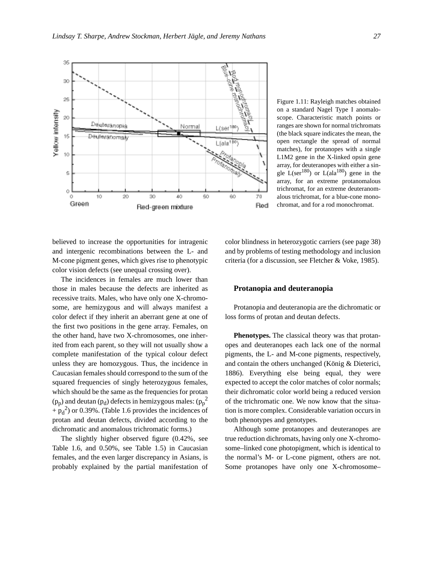

believed to increase the opportunities for intragenic and intergenic recombinations between the L- and M-cone pigment genes, which gives rise to phenotypic color vision defects (see unequal crossing over).

The incidences in females are much lower than those in males because the defects are inherited as recessive traits. Males, who have only one X-chromosome, are hemizygous and will always manifest a color defect if they inherit an aberrant gene at one of the first two positions in the gene array. Females, on the other hand, have two X-chromosomes, one inherited from each parent, so they will not usually show a complete manifestation of the typical colour defect unless they are homozygous. Thus, the incidence in Caucasian females should correspond to the sum of the squared frequencies of singly heterozygous females, which should be the same as the frequencies for protan  $(p_p)$  and deutan  $(p_d)$  defects in hemizygous males:  $(p_p^2)$  $+\overline{p_d}^2$ ) or 0.39%. (Table 1.6 provides the incidences of protan and deutan defects, divided according to the dichromatic and anomalous trichromatic forms.)

The slightly higher observed figure (0.42%, see Table 1.6, and 0.50%, see Table 1.5) in Caucasian females, and the even larger discrepancy in Asians, is probably explained by the partial manifestation of

Figure 1.11: Rayleigh matches obtained on a standard Nagel Type I anomaloscope. Characteristic match points or ranges are shown for normal trichromats (the black square indicates the mean, the open rectangle the spread of normal matches), for protanopes with a single L1M2 gene in the X-linked opsin gene array, for deuteranopes with either a single  $L(\text{ser}^{180})$  or  $L(\text{ala}^{180})$  gene in the array, for an extreme protanomalous trichromat, for an extreme deuteranomalous trichromat, for a blue-cone monochromat, and for a rod monochromat.

color blindness in heterozygotic carriers (see page 38) and by problems of testing methodology and inclusion criteria (for a discussion, see Fletcher & Voke, 1985).

#### **Protanopia and deuteranopia**

Protanopia and deuteranopia are the dichromatic or loss forms of protan and deutan defects.

**Phenotypes.** The classical theory was that protanopes and deuteranopes each lack one of the normal pigments, the L- and M-cone pigments, respectively, and contain the others unchanged (König & Dieterici, 1886). Everything else being equal, they were expected to accept the color matches of color normals; their dichromatic color world being a reduced version of the trichromatic one. We now know that the situation is more complex. Considerable variation occurs in both phenotypes and genotypes.

Although some protanopes and deuteranopes are true reduction dichromats, having only one X-chromosome–linked cone photopigment, which is identical to the normal's M- or L-cone pigment, others are not. Some protanopes have only one X-chromosome–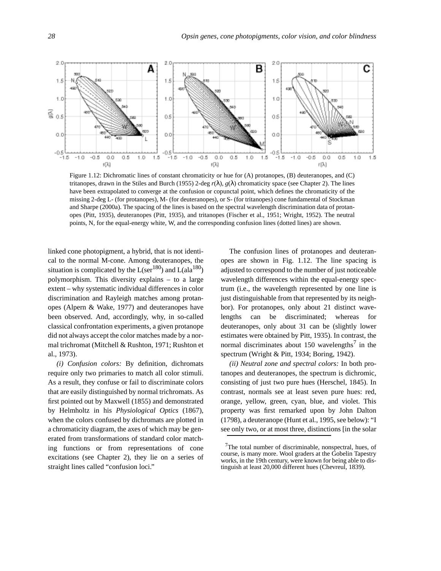

Figure 1.12: Dichromatic lines of constant chromaticity or hue for (A) protanopes, (B) deuteranopes, and (C) tritanopes, drawn in the Stiles and Burch (1955) 2-deg  $r(\lambda)$ ,  $g(\lambda)$  chromaticity space (see Chapter 2). The lines have been extrapolated to converge at the confusion or copunctal point, which defines the chromaticity of the missing 2-deg L- (for protanopes), M- (for deuteranopes), or S- (for tritanopes) cone fundamental of Stockman and Sharpe (2000a). The spacing of the lines is based on the spectral wavelength discrimination data of protanopes (Pitt, 1935), deuteranopes (Pitt, 1935), and tritanopes (Fischer et al., 1951; Wright, 1952). The neutral points, N, for the equal-energy white, W, and the corresponding confusion lines (dotted lines) are shown.

linked cone photopigment, a hybrid, that is not identical to the normal M-cone. Among deuteranopes, the situation is complicated by the  $L(\text{ser}^{180})$  and  $L(\text{ala}^{180})$ polymorphism. This diversity explains – to a large extent – why systematic individual differences in color discrimination and Rayleigh matches among protanopes (Alpern & Wake, 1977) and deuteranopes have been observed. And, accordingly, why, in so-called classical confrontation experiments, a given protanope did not always accept the color matches made by a normal trichromat (Mitchell & Rushton, 1971; Rushton et al., 1973).

*(i) Confusion colors:* By definition, dichromats require only two primaries to match all color stimuli. As a result, they confuse or fail to discriminate colors that are easily distinguished by normal trichromats. As first pointed out by Maxwell (1855) and demonstrated by Helmholtz in his *Physiological Optics* (1867), when the colors confused by dichromats are plotted in a chromaticity diagram, the axes of which may be generated from transformations of standard color matching functions or from representations of cone excitations (see Chapter 2), they lie on a series of straight lines called "confusion loci."

The confusion lines of protanopes and deuteranopes are shown in Fig. 1.12. The line spacing is adjusted to correspond to the number of just noticeable wavelength differences within the equal-energy spectrum (i.e., the wavelength represented by one line is just distinguishable from that represented by its neighbor). For protanopes, only about 21 distinct wavelengths can be discriminated; whereas for deuteranopes, only about 31 can be (slightly lower estimates were obtained by Pitt, 1935). In contrast, the normal discriminates about 150 wavelengths $\frac{7}{10}$  in the spectrum (Wright & Pitt, 1934; Boring, 1942).

*(ii) Neutral zone and spectral colors:* In both protanopes and deuteranopes, the spectrum is dichromic, consisting of just two pure hues (Herschel, 1845). In contrast, normals see at least seven pure hues: red, orange, yellow, green, cyan, blue, and violet. This property was first remarked upon by John Dalton (1798), a deuteranope (Hunt et al*.*, 1995, see below): "I see only two, or at most three, distinctions [in the solar

<sup>&</sup>lt;sup>7</sup>The total number of discriminable, nonspectral, hues, of course, is many more. Wool graders at the Gobelin Tapestry works, in the 19th century, were known for being able to distinguish at least 20,000 different hues (Chevreul, 1839).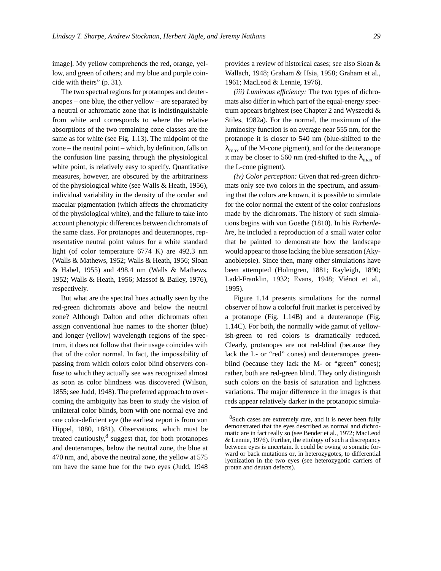image]. My yellow comprehends the red, orange, yellow, and green of others; and my blue and purple coincide with theirs" (p. 31).

The two spectral regions for protanopes and deuteranopes – one blue, the other yellow – are separated by a neutral or achromatic zone that is indistinguishable from white and corresponds to where the relative absorptions of the two remaining cone classes are the same as for white (see Fig. 1.13). The midpoint of the zone – the neutral point – which, by definition, falls on the confusion line passing through the physiological white point, is relatively easy to specify. Quantitative measures, however, are obscured by the arbitrariness of the physiological white (see Walls & Heath, 1956), individual variability in the density of the ocular and macular pigmentation (which affects the chromaticity of the physiological white), and the failure to take into account phenotypic differences between dichromats of the same class. For protanopes and deuteranopes, representative neutral point values for a white standard light (of color temperature 6774 K) are 492.3 nm (Walls & Mathews, 1952; Walls & Heath, 1956; Sloan & Habel, 1955) and 498.4 nm (Walls & Mathews, 1952; Walls & Heath, 1956; Massof & Bailey, 1976), respectively.

But what are the spectral hues actually seen by the red-green dichromats above and below the neutral zone? Although Dalton and other dichromats often assign conventional hue names to the shorter (blue) and longer (yellow) wavelength regions of the spectrum, it does not follow that their usage coincides with that of the color normal. In fact, the impossibility of passing from which colors color blind observers confuse to which they actually see was recognized almost as soon as color blindness was discovered (Wilson, 1855; see Judd, 1948). The preferred approach to overcoming the ambiguity has been to study the vision of unilateral color blinds, born with one normal eye and one color-deficient eye (the earliest report is from von Hippel, 1880, 1881). Observations, which must be treated cautiously, $8$  suggest that, for both protanopes and deuteranopes, below the neutral zone, the blue at 470 nm, and, above the neutral zone, the yellow at 575 nm have the same hue for the two eyes (Judd, 1948 provides a review of historical cases; see also Sloan & Wallach, 1948; Graham & Hsia, 1958; Graham et al*.*, 1961; MacLeod & Lennie, 1976).

*(iii) Luminous efficiency:* The two types of dichromats also differ in which part of the equal-energy spectrum appears brightest (see Chapter 2 and Wyszecki & Stiles, 1982a). For the normal, the maximum of the luminosity function is on average near 555 nm, for the protanope it is closer to 540 nm (blue-shifted to the  $\lambda_{\text{max}}$  of the M-cone pigment), and for the deuteranope it may be closer to 560 nm (red-shifted to the  $\lambda_{\text{max}}$  of the L-cone pigment).

*(iv) Color perception:* Given that red-green dichromats only see two colors in the spectrum, and assuming that the colors are known, it is possible to simulate for the color normal the extent of the color confusions made by the dichromats. The history of such simulations begins with von Goethe (1810). In his *Farbenlehre*, he included a reproduction of a small water color that he painted to demonstrate how the landscape would appear to those lacking the blue sensation (Akyanoblepsie). Since then, many other simulations have been attempted (Holmgren, 1881; Rayleigh, 1890; Ladd-Franklin, 1932; Evans, 1948; Viénot et al*.*, 1995).

Figure 1.14 presents simulations for the normal observer of how a colorful fruit market is perceived by a protanope (Fig. 1.14B) and a deuteranope (Fig. 1.14C). For both, the normally wide gamut of yellowish-green to red colors is dramatically reduced. Clearly, protanopes are not red-blind (because they lack the L- or "red" cones) and deuteranopes greenblind (because they lack the M- or "green" cones); rather, both are red-green blind. They only distinguish such colors on the basis of saturation and lightness variations. The major difference in the images is that reds appear relatively darker in the protanopic simula-

<sup>&</sup>lt;sup>8</sup>Such cases are extremely rare, and it is never been fully demonstrated that the eyes described as normal and dichromatic are in fact really so (see Bender et al*.*, 1972; MacLeod & Lennie, 1976). Further, the etiology of such a discrepancy between eyes is uncertain. It could be owing to somatic forward or back mutations or, in heterozygotes, to differential lyonization in the two eyes (see heterozygotic carriers of protan and deutan defects).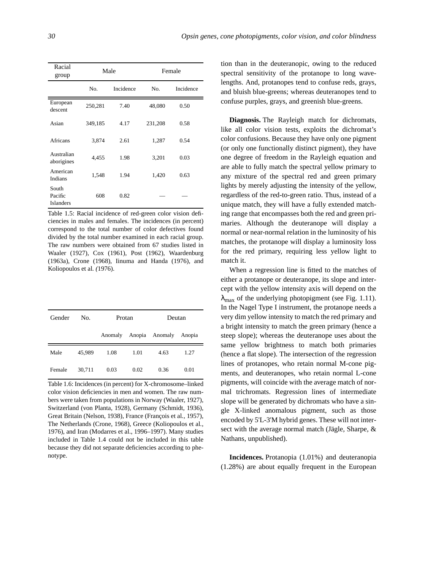| Racial<br>group                      | Male    |           | Female  |           |  |
|--------------------------------------|---------|-----------|---------|-----------|--|
|                                      | No.     | Incidence | No.     | Incidence |  |
| European<br>descent                  | 250,281 | 7.40      | 48,080  | 0.50      |  |
| Asian                                | 349,185 | 4.17      | 231,208 | 0.58      |  |
| Africans                             | 3,874   | 2.61      | 1,287   | 0.54      |  |
| Australian<br>aborigines             | 4,455   | 1.98      | 3,201   | 0.03      |  |
| American<br><b>Indians</b>           | 1,548   | 1.94      | 1,420   | 0.63      |  |
| South<br>Pacific<br><b>Islanders</b> | 608     | 0.82      |         |           |  |

Table 1.5: Racial incidence of red-green color vision deficiencies in males and females. The incidences (in percent) correspond to the total number of color defectives found divided by the total number examined in each racial group. The raw numbers were obtained from 67 studies listed in Waaler (1927), Cox (1961), Post (1962), Waardenburg (1963a), Crone (1968), Iinuma and Handa (1976), and Koliopoulos et al*. (*1976).

| Gender | No.    | Protan |      | Deutan                        |      |
|--------|--------|--------|------|-------------------------------|------|
|        |        |        |      | Anomaly Anopia Anomaly Anopia |      |
| Male   | 45.989 | 1.08   | 1.01 | 4.63                          | 1.27 |
| Female | 30.711 | 0.03   | 0.02 | 0.36                          | 0.01 |

Table 1.6: Incidences (in percent) for X-chromosome–linked color vision deficiencies in men and women. The raw numbers were taken from populations in Norway (Waaler, 1927), Switzerland (von Planta, 1928), Germany (Schmidt, 1936), Great Britain (Nelson, 1938), France (François et al*.*, 1957), The Netherlands (Crone, 1968), Greece (Koliopoulos et al*.*, 1976), and Iran (Modarres et al., 1996–1997). Many studies included in Table 1.4 could not be included in this table because they did not separate deficiencies according to phenotype.

tion than in the deuteranopic, owing to the reduced spectral sensitivity of the protanope to long wavelengths. And, protanopes tend to confuse reds, grays, and bluish blue-greens; whereas deuteranopes tend to confuse purples, grays, and greenish blue-greens.

**Diagnosis.** The Rayleigh match for dichromats, like all color vision tests, exploits the dichromat's color confusions. Because they have only one pigment (or only one functionally distinct pigment), they have one degree of freedom in the Rayleigh equation and are able to fully match the spectral yellow primary to any mixture of the spectral red and green primary lights by merely adjusting the intensity of the yellow, regardless of the red-to-green ratio. Thus, instead of a unique match, they will have a fully extended matching range that encompasses both the red and green primaries. Although the deuteranope will display a normal or near-normal relation in the luminosity of his matches, the protanope will display a luminosity loss for the red primary, requiring less yellow light to match it.

When a regression line is fitted to the matches of either a protanope or deuteranope, its slope and intercept with the yellow intensity axis will depend on the  $\lambda_{\text{max}}$  of the underlying photopigment (see Fig. 1.11). In the Nagel Type I instrument, the protanope needs a very dim yellow intensity to match the red primary and a bright intensity to match the green primary (hence a steep slope); whereas the deuteranope uses about the same yellow brightness to match both primaries (hence a flat slope). The intersection of the regression lines of protanopes, who retain normal M-cone pigments, and deuteranopes, who retain normal L-cone pigments, will coincide with the average match of normal trichromats. Regression lines of intermediate slope will be generated by dichromats who have a single X-linked anomalous pigment, such as those encoded by 5'L-3'M hybrid genes. These will not intersect with the average normal match (Jägle, Sharpe, & Nathans, unpublished).

**Incidences.** Protanopia (1.01%) and deuteranopia (1.28%) are about equally frequent in the European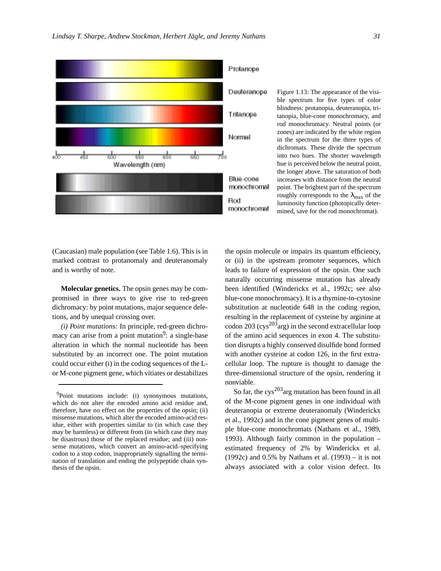

Figure 1.13: The appearance of the visible spectrum for five types of color blindness: protanopia, deuteranopia, tritanopia, blue-cone monochromacy, and rod monochromacy. Neutral points (or zones) are indicated by the white region in the spectrum for the three types of dichromats. These divide the spectrum into two hues. The shorter wavelength hue is perceived below the neutral point, the longer above. The saturation of both increases with distance from the neutral point. The brightest part of the spectrum roughly corresponds to the  $\lambda_{\text{max}}$  of the luminosity function (photopically determined, save for the rod monochromat).

(Caucasian) male population (see Table 1.6). This is in marked contrast to protanomaly and deuteranomaly and is worthy of note.

**Molecular genetics.** The opsin genes may be compromised in three ways to give rise to red-green dichromacy: by point mutations, major sequence deletions, and by unequal crossing over.

*(i) Point mutations:* In principle, red-green dichromacy can arise from a point mutation<sup>9</sup>: a single-base alteration in which the normal nucleotide has been substituted by an incorrect one. The point mutation could occur either (i) in the coding sequences of the Lor M-cone pigment gene, which vitiates or destabilizes the opsin molecule or impairs its quantum efficiency, or (ii) in the upstream promoter sequences, which leads to failure of expression of the opsin. One such naturally occurring missense mutation has already been identified (Winderickx et al., 1992c; see also blue-cone monochromacy). It is a thymine-to-cytosine substitution at nucleotide 648 in the coding region, resulting in the replacement of cysteine by arginine at codon  $203$  (cys<sup>203</sup>arg) in the second extracellular loop of the amino acid sequences in exon 4. The substitution disrupts a highly conserved disulfide bond formed with another cysteine at codon 126, in the first extracellular loop. The rupture is thought to damage the three-dimensional structure of the opsin, rendering it nonviable.

So far, the  $\cos^{203}$  arg mutation has been found in all of the M-cone pigment genes in one individual with deuteranopia or extreme deuteranomaly (Winderickx et al., 1992c) and in the cone pigment genes of multiple blue-cone monochromats (Nathans et al., 1989, 1993). Although fairly common in the population – estimated frequency of 2% by Winderickx et al. (1992c) and 0.5% by Nathans et al. (1993) – it is not always associated with a color vision defect. Its

<sup>&</sup>lt;sup>9</sup>Point mutations include: (i) synonymous mutations, which do not alter the encoded amino acid residue and, therefore, have no effect on the properties of the opsin; (ii) missense mutations, which alter the encoded amino-acid residue, either with properties similar to (in which case they may be harmless) or different from (in which case they may be disastrous) those of the replaced residue; and (iii) nonsense mutations, which convert an amino-acid–specifying codon to a stop codon, inappropriately signalling the termination of translation and ending the polypeptide chain synthesis of the opsin.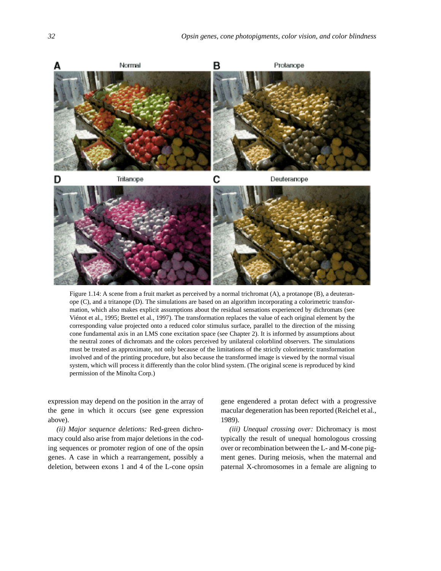

Figure 1.14: A scene from a fruit market as perceived by a normal trichromat (A), a protanope (B), a deuteranope (C), and a tritanope (D). The simulations are based on an algorithm incorporating a colorimetric transformation, which also makes explicit assumptions about the residual sensations experienced by dichromats (see Viénot et al*.*, 1995; Brettel et al., 1997). The transformation replaces the value of each original element by the corresponding value projected onto a reduced color stimulus surface, parallel to the direction of the missing cone fundamental axis in an LMS cone excitation space (see Chapter 2). It is informed by assumptions about the neutral zones of dichromats and the colors perceived by unilateral colorblind observers. The simulations must be treated as approximate, not only because of the limitations of the strictly colorimetric transformation involved and of the printing procedure, but also because the transformed image is viewed by the normal visual system, which will process it differently than the color blind system. (The original scene is reproduced by kind permission of the Minolta Corp.)

expression may depend on the position in the array of the gene in which it occurs (see gene expression above).

*(ii) Major sequence deletions:* Red-green dichromacy could also arise from major deletions in the coding sequences or promoter region of one of the opsin genes. A case in which a rearrangement, possibly a deletion, between exons 1 and 4 of the L-cone opsin gene engendered a protan defect with a progressive macular degeneration has been reported (Reichel et al., 1989).

*(iii) Unequal crossing over:* Dichromacy is most typically the result of unequal homologous crossing over or recombination between the L- and M-cone pigment genes. During meiosis, when the maternal and paternal X-chromosomes in a female are aligning to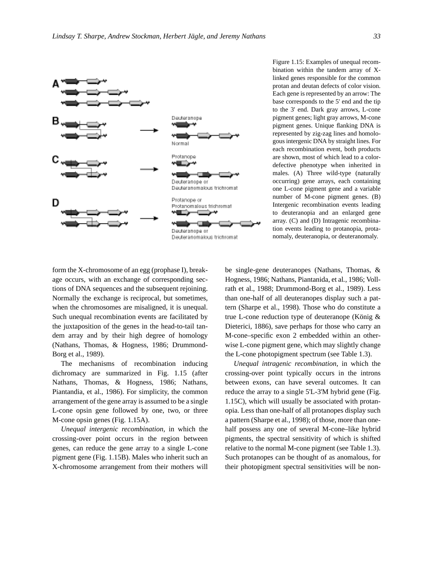

Figure 1.15: Examples of unequal recombination within the tandem array of Xlinked genes responsible for the common protan and deutan defects of color vision. Each gene is represented by an arrow: The base corresponds to the 5' end and the tip to the 3' end. Dark gray arrows, L-cone pigment genes; light gray arrows, M-cone pigment genes. Unique flanking DNA is represented by zig-zag lines and homologous intergenic DNA by straight lines. For each recombination event, both products are shown, most of which lead to a colordefective phenotype when inherited in males. (A) Three wild-type (naturally occurring) gene arrays, each containing one L-cone pigment gene and a variable number of M-cone pigment genes. (B) Intergenic recombination events leading to deuteranopia and an enlarged gene array. (C) and (D) Intragenic recombination events leading to protanopia, protanomaly, deuteranopia, or deuteranomaly.

form the X-chromosome of an egg (prophase I), breakage occurs, with an exchange of corresponding sections of DNA sequences and the subsequent rejoining. Normally the exchange is reciprocal, but sometimes, when the chromosomes are misaligned, it is unequal. Such unequal recombination events are facilitated by the juxtaposition of the genes in the head-to-tail tandem array and by their high degree of homology (Nathans, Thomas, & Hogness, 1986; Drummond-Borg et al., 1989).

The mechanisms of recombination inducing dichromacy are summarized in Fig. 1.15 (after Nathans, Thomas, & Hogness, 1986; Nathans, Piantandia, et al., 1986). For simplicity, the common arrangement of the gene array is assumed to be a single L-cone opsin gene followed by one, two, or three M-cone opsin genes (Fig. 1.15A).

*Unequal intergenic recombination*, in which the crossing-over point occurs in the region between genes, can reduce the gene array to a single L-cone pigment gene (Fig. 1.15B). Males who inherit such an X-chromosome arrangement from their mothers will be single-gene deuteranopes (Nathans, Thomas, & Hogness, 1986; Nathans, Piantanida, et al*.*, 1986; Vollrath et al., 1988; Drummond-Borg et al., 1989). Less than one-half of all deuteranopes display such a pattern (Sharpe et al., 1998). Those who do constitute a true L-cone reduction type of deuteranope (König & Dieterici, 1886), save perhaps for those who carry an M-cone–specific exon 2 embedded within an otherwise L-cone pigment gene, which may slightly change the L-cone photopigment spectrum (see Table 1.3).

*Unequal intragenic recombination*, in which the crossing-over point typically occurs in the introns between exons, can have several outcomes. It can reduce the array to a single 5'L-3'M hybrid gene (Fig. 1.15C), which will usually be associated with protanopia. Less than one-half of all protanopes display such a pattern (Sharpe et al*.*, 1998); of those, more than onehalf possess any one of several M-cone–like hybrid pigments, the spectral sensitivity of which is shifted relative to the normal M-cone pigment (see Table 1.3). Such protanopes can be thought of as anomalous, for their photopigment spectral sensitivities will be non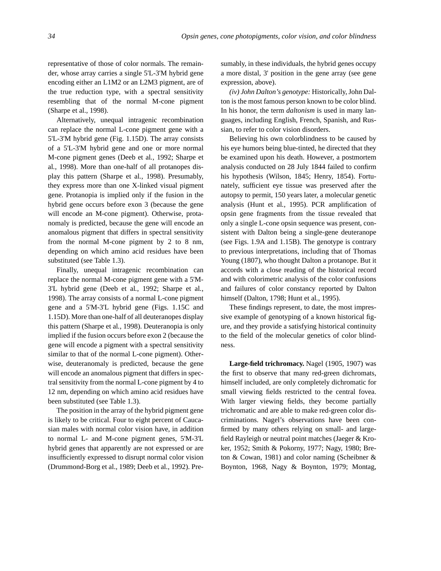representative of those of color normals. The remainder, whose array carries a single 5'L-3'M hybrid gene encoding either an L1M2 or an L2M3 pigment, are of the true reduction type, with a spectral sensitivity resembling that of the normal M-cone pigment (Sharpe et al., 1998).

Alternatively, unequal intragenic recombination can replace the normal L-cone pigment gene with a 5'L-3'M hybrid gene (Fig. 1.15D). The array consists of a 5'L-3'M hybrid gene and one or more normal M-cone pigment genes (Deeb et al*.*, 1992; Sharpe et al*.*, 1998). More than one-half of all protanopes display this pattern (Sharpe et al*.*, 1998). Presumably, they express more than one X-linked visual pigment gene. Protanopia is implied only if the fusion in the hybrid gene occurs before exon 3 (because the gene will encode an M-cone pigment). Otherwise, protanomaly is predicted, because the gene will encode an anomalous pigment that differs in spectral sensitivity from the normal M-cone pigment by 2 to 8 nm, depending on which amino acid residues have been substituted (see Table 1.3).

Finally, unequal intragenic recombination can replace the normal M-cone pigment gene with a 5'M-3'L hybrid gene (Deeb et al*.*, 1992; Sharpe et al*.*, 1998). The array consists of a normal L-cone pigment gene and a 5'M-3'L hybrid gene (Figs. 1.15C and 1.15D). More than one-half of all deuteranopes display this pattern (Sharpe et al*.*, 1998). Deuteranopia is only implied if the fusion occurs before exon 2 (because the gene will encode a pigment with a spectral sensitivity similar to that of the normal L-cone pigment). Otherwise, deuteranomaly is predicted, because the gene will encode an anomalous pigment that differs in spectral sensitivity from the normal L-cone pigment by 4 to 12 nm, depending on which amino acid residues have been substituted (see Table 1.3).

The position in the array of the hybrid pigment gene is likely to be critical. Four to eight percent of Caucasian males with normal color vision have, in addition to normal L- and M-cone pigment genes, 5'M-3'L hybrid genes that apparently are not expressed or are insufficiently expressed to disrupt normal color vision (Drummond-Borg et al., 1989; Deeb et al*.*, 1992). Presumably, in these individuals, the hybrid genes occupy a more distal, 3' position in the gene array (see gene expression, above).

*(iv) John Dalton's genotype:* Historically, John Dalton is the most famous person known to be color blind. In his honor, the term *daltonism* is used in many languages, including English, French, Spanish, and Russian, to refer to color vision disorders.

Believing his own colorblindness to be caused by his eye humors being blue-tinted, he directed that they be examined upon his death. However, a postmortem analysis conducted on 28 July 1844 failed to confirm his hypothesis (Wilson, 1845; Henry, 1854). Fortunately, sufficient eye tissue was preserved after the autopsy to permit, 150 years later, a molecular genetic analysis (Hunt et al*.*, 1995). PCR amplification of opsin gene fragments from the tissue revealed that only a single L-cone opsin sequence was present, consistent with Dalton being a single-gene deuteranope (see Figs. 1.9A and 1.15B). The genotype is contrary to previous interpretations, including that of Thomas Young (1807), who thought Dalton a protanope. But it accords with a close reading of the historical record and with colorimetric analysis of the color confusions and failures of color constancy reported by Dalton himself (Dalton, 1798; Hunt et al*.*, 1995).

These findings represent, to date, the most impressive example of genotyping of a known historical figure, and they provide a satisfying historical continuity to the field of the molecular genetics of color blindness.

**Large-field trichromacy.** Nagel (1905, 1907) was the first to observe that many red-green dichromats, himself included, are only completely dichromatic for small viewing fields restricted to the central fovea. With larger viewing fields, they become partially trichromatic and are able to make red-green color discriminations. Nagel's observations have been confirmed by many others relying on small- and largefield Rayleigh or neutral point matches (Jaeger & Kroker, 1952; Smith & Pokorny, 1977; Nagy, 1980; Breton & Cowan, 1981) and color naming (Scheibner & Boynton, 1968, Nagy & Boynton, 1979; Montag,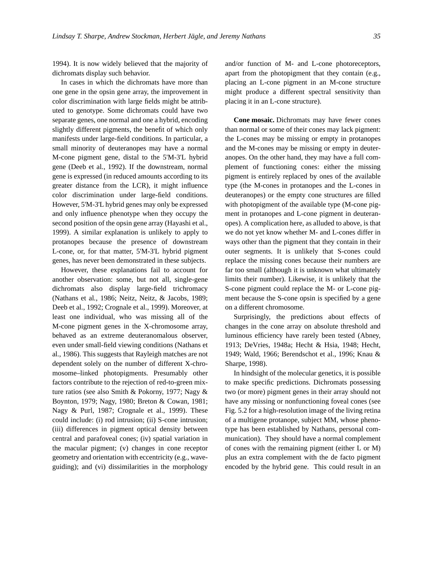1994). It is now widely believed that the majority of dichromats display such behavior.

In cases in which the dichromats have more than one gene in the opsin gene array, the improvement in color discrimination with large fields might be attributed to genotype. Some dichromats could have two separate genes, one normal and one a hybrid, encoding slightly different pigments, the benefit of which only manifests under large-field conditions. In particular, a small minority of deuteranopes may have a normal M-cone pigment gene, distal to the 5'M-3'L hybrid gene (Deeb et al*.*, 1992). If the downstream, normal gene is expressed (in reduced amounts according to its greater distance from the LCR), it might influence color discrimination under large-field conditions. However, 5'M-3'L hybrid genes may only be expressed and only influence phenotype when they occupy the second position of the opsin gene array (Hayashi et al., 1999). A similar explanation is unlikely to apply to protanopes because the presence of downstream L-cone, or, for that matter, 5'M-3'L hybrid pigment genes, has never been demonstrated in these subjects.

However, these explanations fail to account for another observation: some, but not all, single-gene dichromats also display large-field trichromacy (Nathans et al*.*, 1986; Neitz, Neitz, & Jacobs, 1989; Deeb et al*.*, 1992; Crognale et al., 1999). Moreover, at least one individual, who was missing all of the M-cone pigment genes in the X-chromosome array, behaved as an extreme deuteranomalous observer, even under small-field viewing conditions (Nathans et al*.*, 1986). This suggests that Rayleigh matches are not dependent solely on the number of different X-chromosome–linked photopigments. Presumably other factors contribute to the rejection of red-to-green mixture ratios (see also Smith & Pokorny, 1977; Nagy & Boynton, 1979; Nagy, 1980; Breton & Cowan, 1981; Nagy & Purl, 1987; Crognale et al., 1999). These could include: (i) rod intrusion; (ii) S-cone intrusion; (iii) differences in pigment optical density between central and parafoveal cones; (iv) spatial variation in the macular pigment; (v) changes in cone receptor geometry and orientation with eccentricity (e.g., waveguiding); and (vi) dissimilarities in the morphology and/or function of M- and L-cone photoreceptors, apart from the photopigment that they contain (e.g., placing an L-cone pigment in an M-cone structure might produce a different spectral sensitivity than placing it in an L-cone structure).

**Cone mosaic.** Dichromats may have fewer cones than normal or some of their cones may lack pigment: the L-cones may be missing or empty in protanopes and the M-cones may be missing or empty in deuteranopes. On the other hand, they may have a full complement of functioning cones: either the missing pigment is entirely replaced by ones of the available type (the M-cones in protanopes and the L-cones in deuteranopes) or the empty cone structures are filled with photopigment of the available type (M-cone pigment in protanopes and L-cone pigment in deuteranopes). A complication here, as alluded to above, is that we do not yet know whether M- and L-cones differ in ways other than the pigment that they contain in their outer segments. It is unlikely that S-cones could replace the missing cones because their numbers are far too small (although it is unknown what ultimately limits their number). Likewise, it is unlikely that the S-cone pigment could replace the M- or L-cone pigment because the S-cone opsin is specified by a gene on a different chromosome.

Surprisingly, the predictions about effects of changes in the cone array on absolute threshold and luminous efficiency have rarely been tested (Abney, 1913; DeVries, 1948a; Hecht & Hsia, 1948; Hecht, 1949; Wald, 1966; Berendschot et al., 1996; Knau & Sharpe, 1998).

In hindsight of the molecular genetics, it is possible to make specific predictions. Dichromats possessing two (or more) pigment genes in their array should not have any missing or nonfunctioning foveal cones (see Fig. 5.2 for a high-resolution image of the living retina of a multigene protanope, subject MM, whose phenotype has been established by Nathans, personal communication). They should have a normal complement of cones with the remaining pigment (either L or M) plus an extra complement with the de facto pigment encoded by the hybrid gene. This could result in an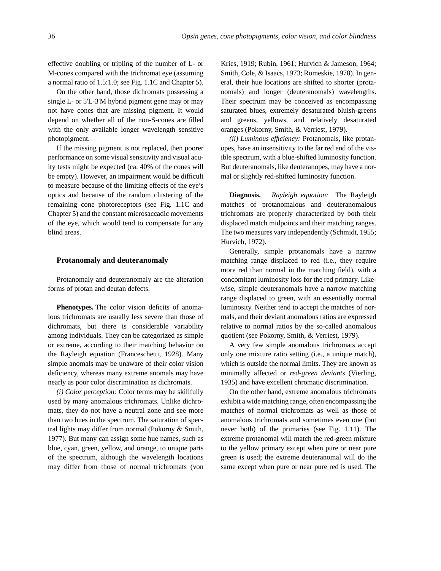effective doubling or tripling of the number of L- or M-cones compared with the trichromat eye (assuming a normal ratio of 1.5:1.0; see Fig. 1.1C and Chapter 5).

On the other hand, those dichromats possessing a single L- or 5'L-3'M hybrid pigment gene may or may not have cones that are missing pigment. It would depend on whether all of the non-S-cones are filled with the only available longer wavelength sensitive photopigment.

If the missing pigment is not replaced, then poorer performance on some visual sensitivity and visual acuity tests might be expected (ca. 40% of the cones will be empty). However, an impairment would be difficult to measure because of the limiting effects of the eye's optics and because of the random clustering of the remaining cone photoreceptors (see Fig. 1.1C and Chapter 5) and the constant microsaccadic movements of the eye, which would tend to compensate for any blind areas.

#### **Protanomaly and deuteranomaly**

Protanomaly and deuteranomaly are the alteration forms of protan and deutan defects.

**Phenotypes.** The color vision deficits of anomalous trichromats are usually less severe than those of dichromats, but there is considerable variability among individuals. They can be categorized as simple or extreme, according to their matching behavior on the Rayleigh equation (Franceschetti, 1928). Many simple anomals may be unaware of their color vision deficiency, whereas many extreme anomals may have nearly as poor color discrimination as dichromats.

*(i) Color perception:* Color terms may be skillfully used by many anomalous trichromats. Unlike dichromats, they do not have a neutral zone and see more than two hues in the spectrum. The saturation of spectral lights may differ from normal (Pokorny & Smith, 1977). But many can assign some hue names, such as blue, cyan, green, yellow, and orange, to unique parts of the spectrum, although the wavelength locations may differ from those of normal trichromats (von Kries, 1919; Rubin, 1961; Hurvich & Jameson, 1964; Smith, Cole, & Isaacs, 1973; Romeskie, 1978). In general, their hue locations are shifted to shorter (protanomals) and longer (deuteranomals) wavelengths. Their spectrum may be conceived as encompassing saturated blues, extremely desaturated bluish-greens and greens, yellows, and relatively desaturated oranges (Pokorny, Smith, & Verriest, 1979).

*(ii) Luminous efficiency:* Protanomals, like protanopes, have an insensitivity to the far red end of the visible spectrum, with a blue-shifted luminosity function. But deuteranomals, like deuteranopes, may have a normal or slightly red-shifted luminosity function.

**Diagnosis.** *Rayleigh equation:* The Rayleigh matches of protanomalous and deuteranomalous trichromats are properly characterized by both their displaced match midpoints and their matching ranges. The two measures vary independently (Schmidt, 1955; Hurvich, 1972).

Generally, simple protanomals have a narrow matching range displaced to red (i.e., they require more red than normal in the matching field), with a concomitant luminosity loss for the red primary. Likewise, simple deuteranomals have a narrow matching range displaced to green, with an essentially normal luminosity. Neither tend to accept the matches of normals, and their deviant anomalous ratios are expressed relative to normal ratios by the so-called anomalous quotient (see Pokorny, Smith, & Verriest, 1979).

A very few simple anomalous trichromats accept only one mixture ratio setting (i.e., a unique match), which is outside the normal limits. They are known as minimally affected or *red-green deviants* (Vierling, 1935) and have excellent chromatic discrimination.

On the other hand, extreme anomalous trichromats exhibit a wide matching range, often encompassing the matches of normal trichromats as well as those of anomalous trichromats and sometimes even one (but never both) of the primaries (see Fig. 1.11). The extreme protanomal will match the red-green mixture to the yellow primary except when pure or near pure green is used; the extreme deuteranomal will do the same except when pure or near pure red is used. The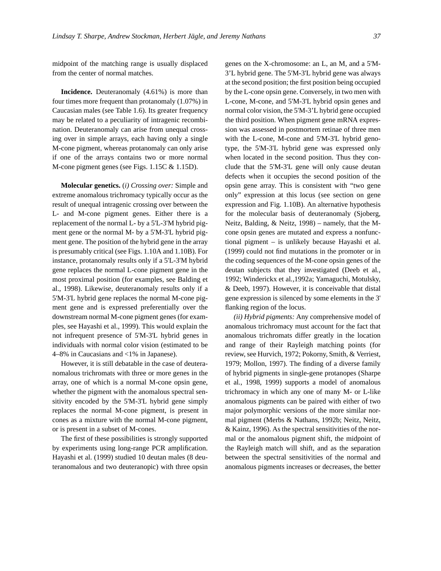midpoint of the matching range is usually displaced from the center of normal matches.

**Incidence.** Deuteranomaly (4.61%) is more than four times more frequent than protanomaly (1.07%) in Caucasian males (see Table 1.6). Its greater frequency may be related to a peculiarity of intragenic recombination. Deuteranomaly can arise from unequal crossing over in simple arrays, each having only a single M-cone pigment, whereas protanomaly can only arise if one of the arrays contains two or more normal M-cone pigment genes (see Figs. 1.15C & 1.15D).

**Molecular genetics.** (*i) Crossing over:* Simple and extreme anomalous trichromacy typically occur as the result of unequal intragenic crossing over between the L- and M-cone pigment genes. Either there is a replacement of the normal L- by a 5'L-3'M hybrid pigment gene or the normal M- by a 5'M-3'L hybrid pigment gene. The position of the hybrid gene in the array is presumably critical (see Figs. 1.10A and 1.10B). For instance, protanomaly results only if a 5'L-3'M hybrid gene replaces the normal L-cone pigment gene in the most proximal position (for examples, see Balding et al., 1998). Likewise, deuteranomaly results only if a 5'M-3'L hybrid gene replaces the normal M-cone pigment gene and is expressed preferentially over the downstream normal M-cone pigment genes (for examples, see Hayashi et al., 1999). This would explain the not infrequent presence of 5'M-3'L hybrid genes in individuals with normal color vision (estimated to be 4–8% in Caucasians and <1% in Japanese).

However, it is still debatable in the case of deuteranomalous trichromats with three or more genes in the array, one of which is a normal M-cone opsin gene, whether the pigment with the anomalous spectral sensitivity encoded by the 5'M-3'L hybrid gene simply replaces the normal M-cone pigment, is present in cones as a mixture with the normal M-cone pigment, or is present in a subset of M-cones.

The first of these possibilities is strongly supported by experiments using long-range PCR amplification. Hayashi et al. (1999) studied 10 deutan males (8 deuteranomalous and two deuteranopic) with three opsin genes on the X-chromosome: an L, an M, and a 5'M-3'L hybrid gene. The 5'M-3'L hybrid gene was always at the second position; the first position being occupied by the L-cone opsin gene. Conversely, in two men with L-cone, M-cone, and 5'M-3'L hybrid opsin genes and normal color vision, the 5'M-3'L hybrid gene occupied the third position. When pigment gene mRNA expression was assessed in postmortem retinae of three men with the L-cone, M-cone and 5'M-3'L hybrid genotype, the 5'M-3'L hybrid gene was expressed only when located in the second position. Thus they conclude that the 5'M-3'L gene will only cause deutan defects when it occupies the second position of the opsin gene array. This is consistent with "two gene only" expression at this locus (see section on gene expression and Fig. 1.10B). An alternative hypothesis for the molecular basis of deuteranomaly (Sjoberg, Neitz, Balding, & Neitz, 1998) – namely, that the Mcone opsin genes are mutated and express a nonfunctional pigment – is unlikely because Hayashi et al. (1999) could not find mutations in the promoter or in the coding sequences of the M-cone opsin genes of the deutan subjects that they investigated (Deeb et al*.*, 1992; Winderickx et al*.*,1992a; Yamaguchi*,* Motulsky, & Deeb, 1997). However, it is conceivable that distal gene expression is silenced by some elements in the 3' flanking region of the locus.

*(ii) Hybrid pigments:* Any comprehensive model of anomalous trichromacy must account for the fact that anomalous trichromats differ greatly in the location and range of their Rayleigh matching points (for review, see Hurvich, 1972; Pokorny, Smith, & Verriest, 1979; Mollon, 1997). The finding of a diverse family of hybrid pigments in single-gene protanopes (Sharpe et al*.*, 1998, 1999) supports a model of anomalous trichromacy in which any one of many M- or L-like anomalous pigments can be paired with either of two major polymorphic versions of the more similar normal pigment (Merbs & Nathans, 1992b; Neitz, Neitz, & Kainz, 1996). As the spectral sensitivities of the normal or the anomalous pigment shift, the midpoint of the Rayleigh match will shift, and as the separation between the spectral sensitivities of the normal and anomalous pigments increases or decreases, the better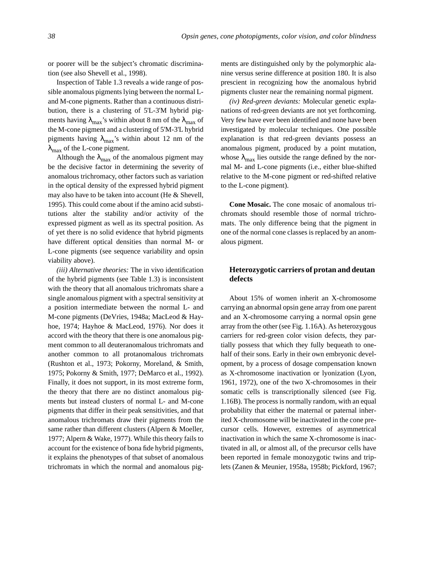or poorer will be the subject's chromatic discrimination (see also Shevell et al., 1998).

Inspection of Table 1.3 reveals a wide range of possible anomalous pigments lying between the normal Land M-cone pigments. Rather than a continuous distribution, there is a clustering of 5'L-3'M hybrid pigments having  $\lambda_{\text{max}}$ 's within about 8 nm of the  $\lambda_{\text{max}}$  of the M-cone pigment and a clustering of 5'M-3'L hybrid pigments having  $\lambda_{\text{max}}$ 's within about 12 nm of the  $\lambda_{\text{max}}$  of the L-cone pigment.

Although the  $\lambda_{\text{max}}$  of the anomalous pigment may be the decisive factor in determining the severity of anomalous trichromacy, other factors such as variation in the optical density of the expressed hybrid pigment may also have to be taken into account (He & Shevell, 1995). This could come about if the amino acid substitutions alter the stability and/or activity of the expressed pigment as well as its spectral position. As of yet there is no solid evidence that hybrid pigments have different optical densities than normal M- or L-cone pigments (see sequence variability and opsin viability above).

*(iii) Alternative theories:* The in vivo identification of the hybrid pigments (see Table 1.3) is inconsistent with the theory that all anomalous trichromats share a single anomalous pigment with a spectral sensitivity at a position intermediate between the normal L- and M-cone pigments (DeVries, 1948a; MacLeod & Hayhoe, 1974; Hayhoe & MacLeod, 1976). Nor does it accord with the theory that there is one anomalous pigment common to all deuteranomalous trichromats and another common to all protanomalous trichromats (Rushton et al., 1973; Pokorny*,* Moreland, & Smith, 1975; Pokorny & Smith, 1977; DeMarco et al., 1992). Finally, it does not support, in its most extreme form, the theory that there are no distinct anomalous pigments but instead clusters of normal L- and M-cone pigments that differ in their peak sensitivities, and that anomalous trichromats draw their pigments from the same rather than different clusters (Alpern & Moeller, 1977; Alpern & Wake, 1977). While this theory fails to account for the existence of bona fide hybrid pigments, it explains the phenotypes of that subset of anomalous trichromats in which the normal and anomalous pigments are distinguished only by the polymorphic alanine versus serine difference at position 180. It is also prescient in recognizing how the anomalous hybrid pigments cluster near the remaining normal pigment.

*(iv) Red-green deviants:* Molecular genetic explanations of red-green deviants are not yet forthcoming. Very few have ever been identified and none have been investigated by molecular techniques. One possible explanation is that red-green deviants possess an anomalous pigment, produced by a point mutation, whose  $\lambda_{\text{max}}$  lies outside the range defined by the normal M- and L-cone pigments (i.e., either blue-shifted relative to the M-cone pigment or red-shifted relative to the L-cone pigment).

**Cone Mosaic.** The cone mosaic of anomalous trichromats should resemble those of normal trichromats. The only difference being that the pigment in one of the normal cone classes is replaced by an anomalous pigment.

# **Heterozygotic carriers of protan and deutan defects**

About 15% of women inherit an X-chromosome carrying an abnormal opsin gene array from one parent and an X-chromosome carrying a normal opsin gene array from the other (see Fig. 1.16A). As heterozygous carriers for red-green color vision defects, they partially possess that which they fully bequeath to onehalf of their sons. Early in their own embryonic development, by a process of dosage compensation known as X-chromosome inactivation or lyonization (Lyon, 1961, 1972), one of the two X-chromosomes in their somatic cells is transcriptionally silenced (see Fig. 1.16B). The process is normally random, with an equal probability that either the maternal or paternal inherited X-chromosome will be inactivated in the cone precursor cells. However, extremes of asymmetrical inactivation in which the same X-chromosome is inactivated in all, or almost all, of the precursor cells have been reported in female monozygotic twins and triplets (Zanen & Meunier, 1958a, 1958b; Pickford, 1967;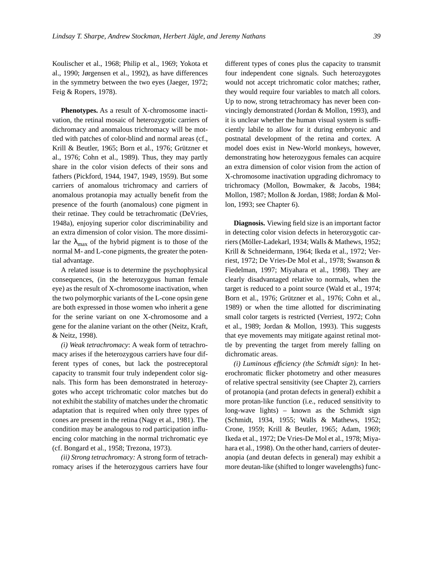Koulischer et al., 1968; Philip et al., 1969; Yokota et al., 1990; Jørgensen et al., 1992), as have differences in the symmetry between the two eyes (Jaeger, 1972; Feig & Ropers, 1978).

**Phenotypes.** As a result of X-chromosome inactivation, the retinal mosaic of heterozygotic carriers of dichromacy and anomalous trichromacy will be mottled with patches of color-blind and normal areas (cf., Krill & Beutler, 1965; Born et al., 1976; Grützner et al., 1976; Cohn et al., 1989). Thus, they may partly share in the color vision defects of their sons and fathers (Pickford, 1944, 1947, 1949, 1959). But some carriers of anomalous trichromacy and carriers of anomalous protanopia may actually benefit from the presence of the fourth (anomalous) cone pigment in their retinae. They could be tetrachromatic (DeVries, 1948a), enjoying superior color discriminability and an extra dimension of color vision. The more dissimilar the  $\lambda_{\text{max}}$  of the hybrid pigment is to those of the normal M- and L-cone pigments, the greater the potential advantage.

A related issue is to determine the psychophysical consequences, (in the heterozygous human female eye) as the result of X-chromosome inactivation, when the two polymorphic variants of the L-cone opsin gene are both expressed in those women who inherit a gene for the serine variant on one X-chromosome and a gene for the alanine variant on the other (Neitz, Kraft, & Neitz, 1998).

*(i) Weak tetrachromacy*: A weak form of tetrachromacy arises if the heterozygous carriers have four different types of cones, but lack the postreceptoral capacity to transmit four truly independent color signals. This form has been demonstrated in heterozygotes who accept trichromatic color matches but do not exhibit the stability of matches under the chromatic adaptation that is required when only three types of cones are present in the retina (Nagy et al., 1981). The condition may be analogous to rod participation influencing color matching in the normal trichromatic eye (cf. Bongard et al., 1958; Trezona, 1973).

*(ii) Strong tetrachromacy:* A strong form of tetrachromacy arises if the heterozygous carriers have four different types of cones plus the capacity to transmit four independent cone signals. Such heterozygotes would not accept trichromatic color matches; rather, they would require four variables to match all colors. Up to now, strong tetrachromacy has never been convincingly demonstrated (Jordan & Mollon, 1993), and it is unclear whether the human visual system is sufficiently labile to allow for it during embryonic and postnatal development of the retina and cortex. A model does exist in New-World monkeys, however, demonstrating how heterozygous females can acquire an extra dimension of color vision from the action of X-chromosome inactivation upgrading dichromacy to trichromacy (Mollon, Bowmaker, & Jacobs, 1984; Mollon, 1987; Mollon & Jordan, 1988; Jordan & Mollon, 1993; see Chapter 6).

**Diagnosis.** Viewing field size is an important factor in detecting color vision defects in heterozygotic carriers (Möller-Ladekarl, 1934; Walls & Mathews, 1952; Krill & Schneidermann, 1964; Ikeda et al., 1972; Verriest, 1972; De Vries-De Mol et al., 1978; Swanson & Fiedelman, 1997; Miyahara et al., 1998). They are clearly disadvantaged relative to normals, when the target is reduced to a point source (Wald et al., 1974; Born et al., 1976; Grützner et al., 1976; Cohn et al., 1989) or when the time allotted for discriminating small color targets is restricted (Verriest, 1972; Cohn et al., 1989; Jordan & Mollon, 1993). This suggests that eye movements may mitigate against retinal mottle by preventing the target from merely falling on dichromatic areas.

*(i) Luminous efficiency (the Schmidt sign):* In heterochromatic flicker photometry and other measures of relative spectral sensitivity (see Chapter 2), carriers of protanopia (and protan defects in general) exhibit a more protan-like function (i.e., reduced sensitivity to long-wave lights) – known as the Schmidt sign (Schmidt, 1934, 1955; Walls & Mathews, 1952; Crone, 1959; Krill & Beutler, 1965; Adam, 1969; Ikeda et al., 1972; De Vries-De Mol et al., 1978; Miyahara et al*.*, 1998). On the other hand, carriers of deuteranopia (and deutan defects in general) may exhibit a more deutan-like (shifted to longer wavelengths) func-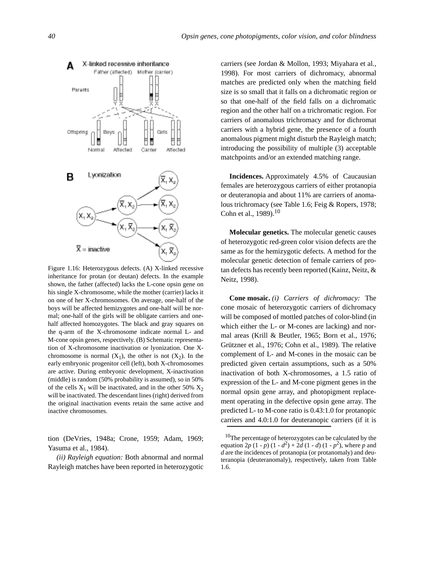

Figure 1.16: Heterozygous defects. (A) X-linked recessive inheritance for protan (or deutan) defects. In the example shown, the father (affected) lacks the L-cone opsin gene on his single X-chromosome, while the mother (carrier) lacks it on one of her X-chromosomes. On average, one-half of the boys will be affected hemizygotes and one-half will be normal; one-half of the girls will be obligate carriers and onehalf affected homozygotes. The black and gray squares on the q-arm of the X-chromosome indicate normal L- and M-cone opsin genes, respectively. (B) Schematic representation of X-chromosome inactivation or lyonization. One Xchromosome is normal  $(X_1)$ , the other is not  $(X_2)$ . In the early embryonic progenitor cell (left), both X-chromosomes are active. During embryonic development, X-inactivation (middle) is random (50% probability is assumed), so in 50% of the cells  $X_1$  will be inactivated, and in the other 50%  $X_2$ will be inactivated. The descendant lines (right) derived from the original inactivation events retain the same active and inactive chromosomes.

tion (DeVries, 1948a; Crone, 1959; Adam, 1969; Yasuma et al., 1984).

*(ii) Rayleigh equation:* Both abnormal and normal Rayleigh matches have been reported in heterozygotic carriers (see Jordan & Mollon, 1993; Miyahara et al*.*, 1998). For most carriers of dichromacy, abnormal matches are predicted only when the matching field size is so small that it falls on a dichromatic region or so that one-half of the field falls on a dichromatic region and the other half on a trichromatic region. For carriers of anomalous trichromacy and for dichromat carriers with a hybrid gene, the presence of a fourth anomalous pigment might disturb the Rayleigh match; introducing the possibility of multiple (3) acceptable matchpoints and/or an extended matching range.

**Incidences.** Approximately 4.5% of Caucausian females are heterozygous carriers of either protanopia or deuteranopia and about 11% are carriers of anomalous trichromacy (see Table 1.6; Feig & Ropers, 1978; Cohn et al., 1989).<sup>10</sup>

**Molecular genetics.** The molecular genetic causes of heterozygotic red-green color vision defects are the same as for the hemizygotic defects. A method for the molecular genetic detection of female carriers of protan defects has recently been reported (Kainz, Neitz, & Neitz, 1998).

**Cone mosaic.** *(i) Carriers of dichromacy:* The cone mosaic of heterozygotic carriers of dichromacy will be composed of mottled patches of color-blind (in which either the L- or M-cones are lacking) and normal areas (Krill & Beutler, 1965; Born et al., 1976; Grützner et al., 1976; Cohn et al., 1989). The relative complement of L- and M-cones in the mosaic can be predicted given certain assumptions, such as a 50% inactivation of both X-chromosomes, a 1.5 ratio of expression of the L- and M-cone pigment genes in the normal opsin gene array, and photopigment replacement operating in the defective opsin gene array. The predicted L- to M-cone ratio is 0.43:1.0 for protanopic carriers and 4.0:1.0 for deuteranopic carriers (if it is

<sup>&</sup>lt;sup>10</sup>The percentage of heterozygotes can be calculated by the equation  $2p(1-p)(1-d^2) + 2d(1-d)(1-p^2)$ , where *p* and *d* are the incidences of protanopia (or protanomaly) and deuteranopia (deuteranomaly), respectively, taken from Table 1.6.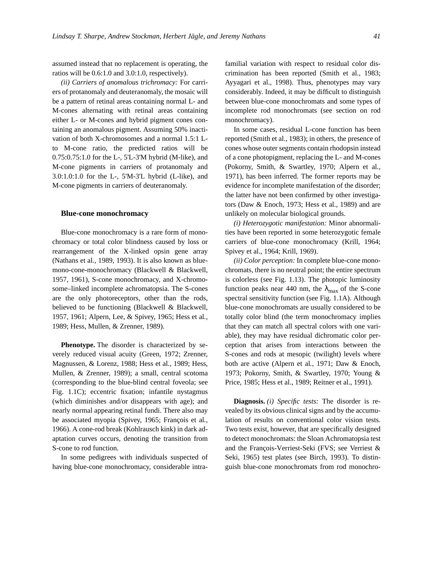assumed instead that no replacement is operating, the ratios will be 0.6:1.0 and 3.0:1.0, respectively).

*(ii) Carriers of anomalous trichromacy:* For carriers of protanomaly and deuteranomaly, the mosaic will be a pattern of retinal areas containing normal L- and M-cones alternating with retinal areas containing either L- or M-cones and hybrid pigment cones containing an anomalous pigment. Assuming 50% inactivation of both X-chromosomes and a normal 1.5:1 Lto M-cone ratio, the predicted ratios will be 0.75:0.75:1.0 for the L-, 5'L-3'M hybrid (M-like), and M-cone pigments in carriers of protanomaly and 3.0:1.0:1.0 for the L-, 5'M-3'L hybrid (L-like), and M-cone pigments in carriers of deuteranomaly.

#### **Blue-cone monochromacy**

Blue-cone monochromacy is a rare form of monochromacy or total color blindness caused by loss or rearrangement of the X-linked opsin gene array (Nathans et al*.*, 1989, 1993). It is also known as bluemono-cone-monochromacy (Blackwell & Blackwell, 1957, 1961), S-cone monochromacy, and X-chromosome–linked incomplete achromatopsia. The S-cones are the only photoreceptors, other than the rods, believed to be functioning (Blackwell & Blackwell, 1957, 1961; Alpern, Lee, & Spivey, 1965; Hess et al*.*, 1989; Hess, Mullen, & Zrenner, 1989).

**Phenotype.** The disorder is characterized by severely reduced visual acuity (Green, 1972; Zrenner, Magnussen, & Lorenz, 1988; Hess et al*.*, 1989; Hess, Mullen, & Zrenner, 1989); a small, central scotoma (corresponding to the blue-blind central foveola; see Fig. 1.1C); eccentric fixation; infantile nystagmus (which diminishes and/or disappears with age); and nearly normal appearing retinal fundi. There also may be associated myopia (Spivey, 1965; François et al*.*, 1966). A cone-rod break (Kohlrausch kink) in dark adaptation curves occurs, denoting the transition from S-cone to rod function.

In some pedigrees with individuals suspected of having blue-cone monochromacy, considerable intrafamilial variation with respect to residual color discrimination has been reported (Smith et al*.*, 1983; Ayyagari et al., 1998). Thus, phenotypes may vary considerably. Indeed, it may be difficult to distinguish between blue-cone monochromats and some types of incomplete rod monochromats (see section on rod monochromacy).

In some cases, residual L-cone function has been reported (Smith et al., 1983); in others, the presence of cones whose outer segments contain rhodopsin instead of a cone photopigment, replacing the L- and M-cones (Pokorny, Smith, & Swartley, 1970; Alpern et al*.*, 1971), has been inferred. The former reports may be evidence for incomplete manifestation of the disorder; the latter have not been confirmed by other investigators (Daw & Enoch, 1973; Hess et al., 1989) and are unlikely on molecular biological grounds.

*(i) Heterozygotic manifestation:* Minor abnormalities have been reported in some heterozygotic female carriers of blue-cone monochromacy (Krill, 1964; Spivey et al., 1964; Krill, 1969).

*(ii) Color perception:* In complete blue-cone monochromats, there is no neutral point; the entire spectrum is colorless (see Fig. 1.13). The photopic luminosity function peaks near 440 nm, the  $\lambda_{\text{max}}$  of the S-cone spectral sensitivity function (see Fig. 1.1A). Although blue-cone monochromats are usually considered to be totally color blind (the term monochromacy implies that they can match all spectral colors with one variable), they may have residual dichromatic color perception that arises from interactions between the S-cones and rods at mesopic (twilight) levels where both are active (Alpern et al*.*, 1971; Daw & Enoch, 1973; Pokorny, Smith, & Swartley, 1970; Young & Price, 1985; Hess et al., 1989; Reitner et al., 1991).

**Diagnosis.** *(i) Specific tests:* The disorder is revealed by its obvious clinical signs and by the accumulation of results on conventional color vision tests. Two tests exist, however, that are specifically designed to detect monochromats: the Sloan Achromatopsia test and the François-Verriest-Seki (FVS; see Verriest & Seki, 1965) test plates (see Birch, 1993). To distinguish blue-cone monochromats from rod monochro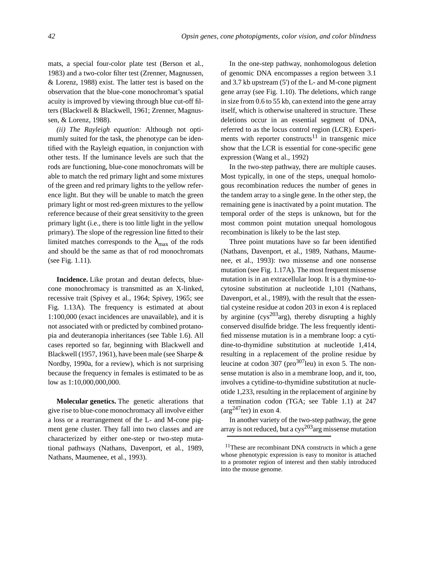mats, a special four-color plate test (Berson et al*.*, 1983) and a two-color filter test (Zrenner, Magnussen, & Lorenz, 1988) exist. The latter test is based on the observation that the blue-cone monochromat's spatial acuity is improved by viewing through blue cut-off filters (Blackwell & Blackwell, 1961; Zrenner, Magnussen, & Lorenz, 1988).

*(ii) The Rayleigh equation:* Although not optimumly suited for the task, the phenotype can be identified with the Rayleigh equation, in conjunction with other tests. If the luminance levels are such that the rods are functioning, blue-cone monochromats will be able to match the red primary light and some mixtures of the green and red primary lights to the yellow reference light. But they will be unable to match the green primary light or most red-green mixtures to the yellow reference because of their great sensitivity to the green primary light (i.e., there is too little light in the yellow primary). The slope of the regression line fitted to their limited matches corresponds to the  $\lambda_{\text{max}}$  of the rods and should be the same as that of rod monochromats (see Fig. 1.11).

**Incidence.** Like protan and deutan defects, bluecone monochromacy is transmitted as an X-linked, recessive trait (Spivey et al*.*, 1964; Spivey, 1965; see Fig. 1.13A). The frequency is estimated at about 1:100,000 (exact incidences are unavailable), and it is not associated with or predicted by combined protanopia and deuteranopia inheritances (see Table 1.6). All cases reported so far, beginning with Blackwell and Blackwell (1957, 1961), have been male (see Sharpe & Nordby, 1990a, for a review), which is not surprising because the frequency in females is estimated to be as low as 1:10,000,000,000.

**Molecular genetics.** The genetic alterations that give rise to blue-cone monochromacy all involve either a loss or a rearrangement of the L- and M-cone pigment gene cluster. They fall into two classes and are characterized by either one-step or two-step mutational pathways (Nathans, Davenport, et al*.*, 1989, Nathans, Maumenee, et al., 1993).

In the one-step pathway, nonhomologous deletion of genomic DNA encompasses a region between 3.1 and 3.7 kb upstream (5') of the L- and M-cone pigment gene array (see Fig. 1.10). The deletions, which range in size from 0.6 to 55 kb, can extend into the gene array itself, which is otherwise unaltered in structure. These deletions occur in an essential segment of DNA, referred to as the locus control region (LCR). Experiments with reporter constructs<sup>11</sup> in transgenic mice show that the LCR is essential for cone-specific gene expression (Wang et al., 1992)

In the two-step pathway, there are multiple causes. Most typically, in one of the steps, unequal homologous recombination reduces the number of genes in the tandem array to a single gene. In the other step, the remaining gene is inactivated by a point mutation. The temporal order of the steps is unknown, but for the most common point mutation unequal homologous recombination is likely to be the last step.

Three point mutations have so far been identified (Nathans, Davenport, et al*.*, 1989, Nathans, Maumenee, et al., 1993): two missense and one nonsense mutation (see Fig. 1.17A). The most frequent missense mutation is in an extracellular loop. It is a thymine-tocytosine substitution at nucleotide 1,101 (Nathans, Davenport, et al*.*, 1989), with the result that the essential cysteine residue at codon 203 in exon 4 is replaced by arginine ( $\text{cys}^{203}$ arg), thereby disrupting a highly conserved disulfide bridge. The less frequently identified missense mutation is in a membrane loop: a cytidine-to-thymidine substitution at nucleotide 1,414, resulting in a replacement of the proline residue by leucine at codon 307 ( $pro^{307}$ leu) in exon 5. The nonsense mutation is also in a membrane loop, and it, too, involves a cytidine-to-thymidine substitution at nucleotide 1,233, resulting in the replacement of arginine by a termination codon (TGA; see Table 1.1) at 247  $(\text{arg}^{247} \text{ter})$  in exon 4.

In another variety of the two-step pathway, the gene array is not reduced, but a  $\cos^{203}$  arg missense mutation

<sup>&</sup>lt;sup>11</sup>These are recombinant DNA constructs in which a gene whose phenotypic expression is easy to monitor is attached to a promoter region of interest and then stably introduced into the mouse genome.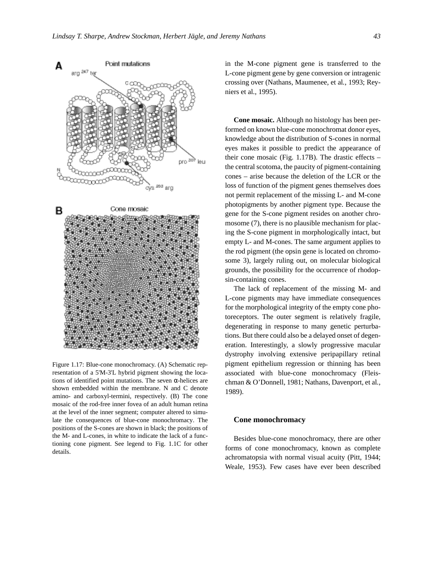

Figure 1.17: Blue-cone monochromacy. (A) Schematic representation of a 5'M-3'L hybrid pigment showing the locations of identified point mutations. The seven  $\alpha$ -helices are shown embedded within the membrane. N and C denote amino- and carboxyl-termini, respectively. (B) The cone mosaic of the rod-free inner fovea of an adult human retina at the level of the inner segment; computer altered to simulate the consequences of blue-cone monochromacy. The positions of the S-cones are shown in black; the positions of the M- and L-cones, in white to indicate the lack of a functioning cone pigment. See legend to Fig. 1.1C for other details.

in the M-cone pigment gene is transferred to the L-cone pigment gene by gene conversion or intragenic crossing over (Nathans, Maumenee, et al*.*, 1993; Reyniers et al*.*, 1995).

**Cone mosaic.** Although no histology has been performed on known blue-cone monochromat donor eyes, knowledge about the distribution of S-cones in normal eyes makes it possible to predict the appearance of their cone mosaic (Fig. 1.17B). The drastic effects – the central scotoma, the paucity of pigment-containing cones – arise because the deletion of the LCR or the loss of function of the pigment genes themselves does not permit replacement of the missing L- and M-cone photopigments by another pigment type. Because the gene for the S-cone pigment resides on another chromosome (7), there is no plausible mechanism for placing the S-cone pigment in morphologically intact, but empty L- and M-cones. The same argument applies to the rod pigment (the opsin gene is located on chromosome 3), largely ruling out, on molecular biological grounds, the possibility for the occurrence of rhodopsin-containing cones.

The lack of replacement of the missing M- and L-cone pigments may have immediate consequences for the morphological integrity of the empty cone photoreceptors. The outer segment is relatively fragile, degenerating in response to many genetic perturbations. But there could also be a delayed onset of degeneration. Interestingly, a slowly progressive macular dystrophy involving extensive peripapillary retinal pigment epithelium regression or thinning has been associated with blue-cone monochromacy (Fleischman & O'Donnell, 1981; Nathans, Davenport, et al*.*, 1989).

#### **Cone monochromacy**

Besides blue-cone monochromacy, there are other forms of cone monochromacy, known as complete achromatopsia with normal visual acuity (Pitt, 1944; Weale, 1953). Few cases have ever been described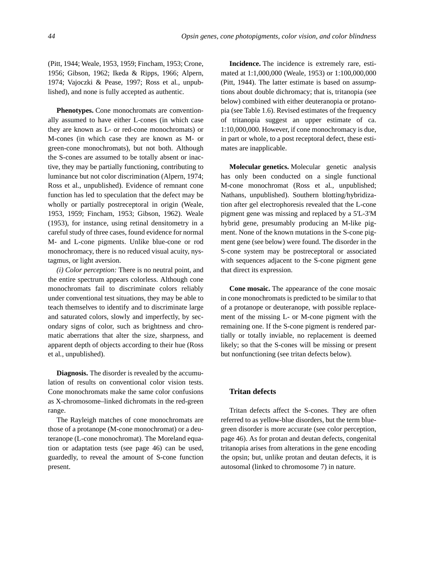(Pitt, 1944; Weale, 1953, 1959; Fincham, 1953; Crone, 1956; Gibson, 1962; Ikeda & Ripps, 1966; Alpern, 1974; Vajoczki & Pease, 1997; Ross et al*.*, unpublished), and none is fully accepted as authentic.

**Phenotypes.** Cone monochromats are conventionally assumed to have either L-cones (in which case they are known as L- or red-cone monochromats) or M-cones (in which case they are known as M- or green-cone monochromats), but not both. Although the S-cones are assumed to be totally absent or inactive, they may be partially functioning, contributing to luminance but not color discrimination (Alpern, 1974; Ross et al., unpublished). Evidence of remnant cone function has led to speculation that the defect may be wholly or partially postreceptoral in origin (Weale, 1953, 1959; Fincham, 1953; Gibson, 1962). Weale (1953), for instance, using retinal densitometry in a careful study of three cases, found evidence for normal M- and L-cone pigments. Unlike blue-cone or rod monochromacy, there is no reduced visual acuity, nystagmus, or light aversion.

*(i) Color perception:* There is no neutral point, and the entire spectrum appears colorless. Although cone monochromats fail to discriminate colors reliably under conventional test situations, they may be able to teach themselves to identify and to discriminate large and saturated colors, slowly and imperfectly, by secondary signs of color, such as brightness and chromatic aberrations that alter the size, sharpness, and apparent depth of objects according to their hue (Ross et al*.*, unpublished).

**Diagnosis.** The disorder is revealed by the accumulation of results on conventional color vision tests. Cone monochromats make the same color confusions as X-chromosome–linked dichromats in the red-green range.

The Rayleigh matches of cone monochromats are those of a protanope (M-cone monochromat) or a deuteranope (L-cone monochromat). The Moreland equation or adaptation tests (see page 46) can be used, guardedly, to reveal the amount of S-cone function present.

**Incidence.** The incidence is extremely rare, estimated at 1:1,000,000 (Weale, 1953) or 1:100,000,000 (Pitt, 1944). The latter estimate is based on assumptions about double dichromacy; that is, tritanopia (see below) combined with either deuteranopia or protanopia (see Table 1.6). Revised estimates of the frequency of tritanopia suggest an upper estimate of ca. 1:10,000,000. However, if cone monochromacy is due, in part or whole, to a post receptoral defect, these estimates are inapplicable.

**Molecular genetics.** Molecular genetic analysis has only been conducted on a single functional M-cone monochromat (Ross et al*.*, unpublished; Nathans, unpublished). Southern blotting/hybridization after gel electrophoresis revealed that the L-cone pigment gene was missing and replaced by a 5'L-3'M hybrid gene, presumably producing an M-like pigment. None of the known mutations in the S-cone pigment gene (see below) were found. The disorder in the S-cone system may be postreceptoral or associated with sequences adjacent to the S-cone pigment gene that direct its expression.

**Cone mosaic.** The appearance of the cone mosaic in cone monochromats is predicted to be similar to that of a protanope or deuteranope, with possible replacement of the missing L- or M-cone pigment with the remaining one. If the S-cone pigment is rendered partially or totally inviable, no replacement is deemed likely; so that the S-cones will be missing or present but nonfunctioning (see tritan defects below).

# **Tritan defects**

Tritan defects affect the S-cones. They are often referred to as yellow-blue disorders, but the term bluegreen disorder is more accurate (see color perception, page 46). As for protan and deutan defects, congenital tritanopia arises from alterations in the gene encoding the opsin; but, unlike protan and deutan defects, it is autosomal (linked to chromosome 7) in nature.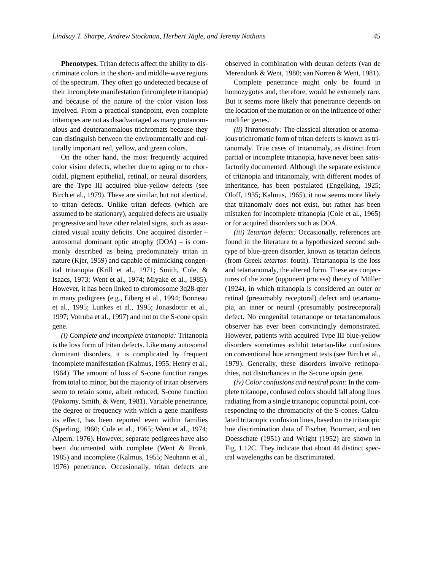**Phenotypes.** Tritan defects affect the ability to discriminate colors in the short- and middle-wave regions of the spectrum. They often go undetected because of their incomplete manifestation (incomplete tritanopia) and because of the nature of the color vision loss involved. From a practical standpoint, even complete tritanopes are not as disadvantaged as many protanomalous and deuteranomalous trichromats because they can distinguish between the environmentally and culturally important red, yellow, and green colors.

On the other hand, the most frequently acquired color vision defects, whether due to aging or to choroidal, pigment epithelial, retinal, or neural disorders, are the Type III acquired blue-yellow defects (see Birch et al*.*, 1979). These are similar, but not identical, to tritan defects. Unlike tritan defects (which are assumed to be stationary), acquired defects are usually progressive and have other related signs, such as associated visual acuity deficits. One acquired disorder – autosomal dominant optic atrophy (DOA) – is commonly described as being predominately tritan in nature (Kjer, 1959) and capable of mimicking congenital tritanopia (Krill et al., 1971; Smith, Cole, & Isaacs, 1973; Went et al., 1974; Miyake et al., 1985). However, it has been linked to chromosome 3q28-qter in many pedigrees (e.g., Eiberg et al., 1994; Bonneau et al., 1995; Lunkes et al., 1995; Jonasdottir et al., 1997; Votruba et al., 1997) and not to the S-cone opsin gene.

*(i) Complete and incomplete tritanopia:* Tritanopia is the loss form of tritan defects. Like many autosomal dominant disorders, it is complicated by frequent incomplete manifestation (Kalmus, 1955; Henry et al., 1964). The amount of loss of S-cone function ranges from total to minor, but the majority of tritan observers seem to retain some, albeit reduced, S-cone function (Pokorny, Smith, & Went, 1981). Variable penetrance, the degree or frequency with which a gene manifests its effect, has been reported even within families (Sperling, 1960; Cole et al*.*, 1965; Went et al., 1974; Alpern, 1976). However, separate pedigrees have also been documented with complete (Went & Pronk, 1985) and incomplete (Kalmus, 1955; Neuhann et al., 1976) penetrance. Occasionally, tritan defects are observed in combination with deutan defects (van de Merendonk & Went, 1980; van Norren & Went, 1981).

Complete penetrance might only be found in homozygotes and, therefore, would be extremely rare. But it seems more likely that penetrance depends on the location of the mutation or on the influence of other modifier genes.

*(ii) Tritanomaly:* The classical alteration or anomalous trichromatic form of tritan defects is known as tritanomaly. True cases of tritanomaly, as distinct from partial or incomplete tritanopia, have never been satisfactorily documented. Although the separate existence of tritanopia and tritanomaly, with different modes of inheritance, has been postulated (Engelking, 1925; Oloff, 1935; Kalmus, 1965), it now seems more likely that tritanomaly does not exist, but rather has been mistaken for incomplete tritanopia (Cole et al*.*, 1965) or for acquired disorders such as DOA.

*(iii) Tetartan defects:* Occasionally, references are found in the literature to a hypothesized second subtype of blue-green disorder, known as tetartan defects (from Greek *tetartos*: fouth). Tetartanopia is the loss and tetartanomaly, the altered form. These are conjectures of the zone (opponent process) theory of Müller (1924), in which tritanopia is considered an outer or retinal (presumably receptoral) defect and tetartanopia, an inner or neural (presumably postreceptoral) defect. No congenital tetartanope or tetartanomalous observer has ever been convincingly demonstrated. However, patients with acquired Type III blue-yellow disorders sometimes exhibit tetartan-like confusions on conventional hue arrangment tests (see Birch et al*.*, 1979). Generally, these disorders involve retinopathies, not disturbances in the S-cone opsin gene.

*(iv) Color confusions and neutral point:* In the complete tritanope, confused colors should fall along lines radiating from a single tritanopic copunctal point, corresponding to the chromaticity of the S-cones. Calculated tritanopic confusion lines, based on the tritanopic hue discrimination data of Fischer, Bouman, and ten Doesschate (1951) and Wright (1952) are shown in Fig. 1.12C. They indicate that about 44 distinct spectral wavelengths can be discriminated.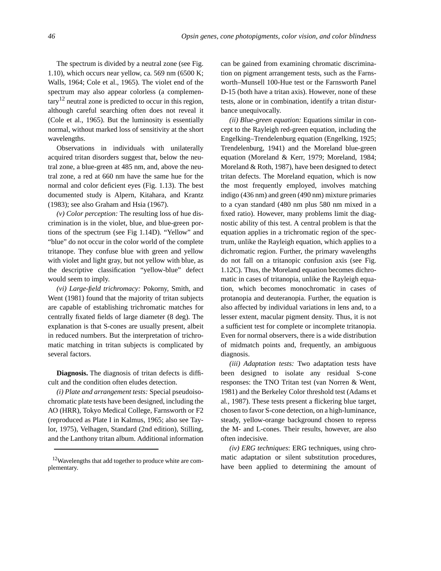The spectrum is divided by a neutral zone (see Fig. 1.10), which occurs near yellow, ca. 569 nm (6500 K; Walls, 1964; Cole et al., 1965). The violet end of the spectrum may also appear colorless (a complemen $tary$ <sup>12</sup> neutral zone is predicted to occur in this region, although careful searching often does not reveal it (Cole et al., 1965). But the luminosity is essentially normal, without marked loss of sensitivity at the short wavelengths.

Observations in individuals with unilaterally acquired tritan disorders suggest that, below the neutral zone, a blue-green at 485 nm, and, above the neutral zone, a red at 660 nm have the same hue for the normal and color deficient eyes (Fig. 1.13). The best documented study is Alpern, Kitahara, and Krantz (1983); see also Graham and Hsia (1967).

*(v) Color perception:* The resulting loss of hue discrimination is in the violet, blue, and blue-green portions of the spectrum (see Fig 1.14D). "Yellow" and "blue" do not occur in the color world of the complete tritanope. They confuse blue with green and yellow with violet and light gray, but not yellow with blue, as the descriptive classification "yellow-blue" defect would seem to imply.

*(vi) Large-field trichromacy:* Pokorny*,* Smith, and Went (1981) found that the majority of tritan subjects are capable of establishing trichromatic matches for centrally fixated fields of large diameter (8 deg). The explanation is that S-cones are usually present, albeit in reduced numbers. But the interpretation of trichromatic matching in tritan subjects is complicated by several factors.

**Diagnosis.** The diagnosis of tritan defects is difficult and the condition often eludes detection.

*(i) Plate and arrangement tests:* Special pseudoisochromatic plate tests have been designed, including the AO (HRR), Tokyo Medical College, Farnsworth or F2 (reproduced as Plate I in Kalmus, 1965; also see Taylor, 1975), Velhagen, Standard (2nd edition), Stilling, and the Lanthony tritan album. Additional information can be gained from examining chromatic discrimination on pigment arrangement tests, such as the Farnsworth–Munsell 100-Hue test or the Farnsworth Panel D-15 (both have a tritan axis). However, none of these tests, alone or in combination, identify a tritan disturbance unequivocally.

*(ii) Blue-green equation:* Equations similar in concept to the Rayleigh red-green equation, including the Engelking–Trendelenburg equation (Engelking, 1925; Trendelenburg, 1941) and the Moreland blue-green equation (Moreland & Kerr, 1979; Moreland, 1984; Moreland & Roth, 1987), have been designed to detect tritan defects. The Moreland equation, which is now the most frequently employed, involves matching indigo (436 nm) and green (490 nm) mixture primaries to a cyan standard (480 nm plus 580 nm mixed in a fixed ratio). However, many problems limit the diagnostic ability of this test. A central problem is that the equation applies in a trichromatic region of the spectrum, unlike the Rayleigh equation, which applies to a dichromatic region. Further, the primary wavelengths do not fall on a tritanopic confusion axis (see Fig. 1.12C). Thus, the Moreland equation becomes dichromatic in cases of tritanopia, unlike the Rayleigh equation, which becomes monochromatic in cases of protanopia and deuteranopia. Further, the equation is also affected by individual variations in lens and, to a lesser extent, macular pigment density. Thus, it is not a sufficient test for complete or incomplete tritanopia. Even for normal observers, there is a wide distribution of midmatch points and, frequently, an ambiguous diagnosis.

*(iii) Adaptation tests:* Two adaptation tests have been designed to isolate any residual S-cone responses: the TNO Tritan test (van Norren & Went, 1981) and the Berkeley Color threshold test (Adams et al*.*, 1987). These tests present a flickering blue target, chosen to favor S-cone detection, on a high-luminance, steady, yellow-orange background chosen to repress the M- and L-cones. Their results, however, are also often indecisive.

*(iv) ERG techniques*: ERG techniques, using chromatic adaptation or silent substitution procedures, have been applied to determining the amount of

<sup>12</sup>Wavelengths that add together to produce white are complementary.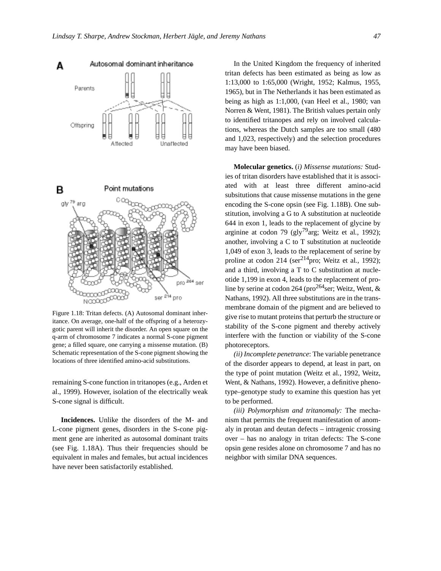

Figure 1.18: Tritan defects. (A) Autosomal dominant inheritance. On average, one-half of the offspring of a heterozygotic parent will inherit the disorder. An open square on the q-arm of chromosome 7 indicates a normal S-cone pigment gene; a filled square, one carrying a missense mutation. (B) Schematic representation of the S-cone pigment showing the locations of three identified amino-acid substitutions.

remaining S-cone function in tritanopes (e.g., Arden et al., 1999). However, isolation of the electrically weak S-cone signal is difficult.

**Incidences.** Unlike the disorders of the M- and L-cone pigment genes, disorders in the S-cone pigment gene are inherited as autosomal dominant traits (see Fig. 1.18A). Thus their frequencies should be equivalent in males and females, but actual incidences have never been satisfactorily established.

In the United Kingdom the frequency of inherited tritan defects has been estimated as being as low as 1:13,000 to 1:65,000 (Wright, 1952; Kalmus, 1955, 1965), but in The Netherlands it has been estimated as being as high as 1:1,000, (van Heel et al., 1980; van Norren & Went, 1981). The British values pertain only to identified tritanopes and rely on involved calculations, whereas the Dutch samples are too small (480 and 1,023, respectively) and the selection procedures may have been biased.

**Molecular genetics.** (*i) Missense mutations:* Studies of tritan disorders have established that it is associated with at least three different amino-acid subsitutions that cause missense mutations in the gene encoding the S-cone opsin (see Fig. 1.18B). One substitution, involving a G to A substitution at nucleotide 644 in exon 1, leads to the replacement of glycine by arginine at codon 79 ( $gly^{79}$ arg; Weitz et al., 1992); another, involving a C to T substitution at nucleotide 1,049 of exon 3, leads to the replacement of serine by proline at codon 214 ( $ser^{214}$ pro; Weitz et al., 1992); and a third, involving a T to C substitution at nucleotide 1,199 in exon 4, leads to the replacement of proline by serine at codon 264 (pro $^{264}$ ser; Weitz, Went, & Nathans, 1992). All three substitutions are in the transmembrane domain of the pigment and are believed to give rise to mutant proteins that perturb the structure or stability of the S-cone pigment and thereby actively interfere with the function or viability of the S-cone photoreceptors.

*(ii) Incomplete penetrance*: The variable penetrance of the disorder appears to depend, at least in part, on the type of point mutation (Weitz et al*.*, 1992, Weitz, Went, & Nathans, 1992). However, a definitive phenotype–genotype study to examine this question has yet to be performed.

*(iii) Polymorphism and tritanomaly:* The mechanism that permits the frequent manifestation of anomaly in protan and deutan defects – intragenic crossing over – has no analogy in tritan defects: The S-cone opsin gene resides alone on chromosome 7 and has no neighbor with similar DNA sequences.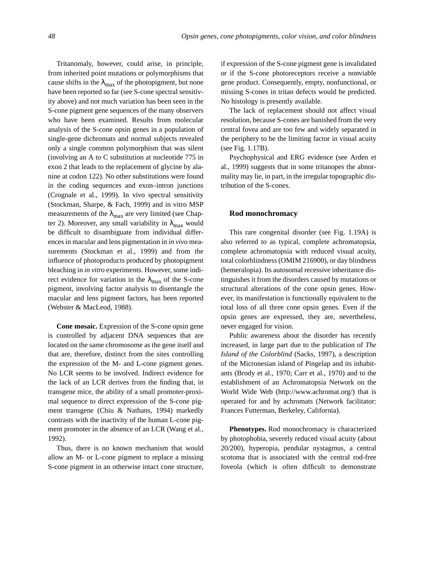Tritanomaly, however, could arise, in principle, from inherited point mutations or polymorphisms that cause shifts in the  $\lambda_{\text{max}}$  of the photopigment, but none have been reported so far (see S-cone spectral sensitivity above) and not much variation has been seen in the S-cone pigment gene sequences of the many observers who have been examined. Results from molecular analysis of the S-cone opsin genes in a population of single-gene dichromats and normal subjects revealed only a single common polymorphism that was silent (involving an A to C substitution at nucleotide 775 in exon 2 that leads to the replacement of glycine by alanine at codon 122). No other substitutions were found in the coding sequences and exon–intron junctions (Crognale et al., 1999). In vivo spectral sensitivity (Stockman, Sharpe, & Fach, 1999) and in vitro MSP measurements of the  $\lambda_{\text{max}}$  are very limited (see Chapter 2). Moreover, any small variability in  $\lambda_{\text{max}}$  would be difficult to disambiguate from individual differences in macular and lens pigmentation in *in vivo* measurements (Stockman et al., 1999) and from the influence of photoproducts produced by photopigment bleaching in *in vitro* experiments. However, some indirect evidence for variation in the  $\lambda_{\text{max}}$  of the S-cone pigment, involving factor analysis to disentangle the macular and lens pigment factors, has been reported (Webster & MacLeod, 1988).

**Cone mosaic.** Expression of the S-cone opsin gene is controlled by adjacent DNA sequences that are located on the same chromosome as the gene itself and that are, therefore, distinct from the sites controlling the expression of the M- and L-cone pigment genes. No LCR seems to be involved. Indirect evidence for the lack of an LCR derives from the finding that, in transgene mice, the ability of a small promoter-proximal sequence to direct expression of the S-cone pigment transgene (Chiu & Nathans, 1994) markedly contrasts with the inactivity of the human L-cone pigment promoter in the absence of an LCR (Wang et al*.*, 1992).

Thus, there is no known mechanism that would allow an M- or L-cone pigment to replace a missing S-cone pigment in an otherwise intact cone structure, if expression of the S-cone pigment gene is invalidated or if the S-cone photoreceptors receive a nonviable gene product. Consequently, empty, nonfunctional, or missing S-cones in tritan defects would be predicted. No histology is presently available.

The lack of replacement should not affect visual resolution, because S-cones are banished from the very central fovea and are too few and widely separated in the periphery to be the limiting factor in visual acuity (see Fig. 1.17B).

Psychophysical and ERG evidence (see Arden et al., 1999) suggests that in some tritanopes the abnormality may lie, in part, in the irregular topographic distribution of the S-cones.

#### **Rod monochromacy**

This rare congenital disorder (see Fig. 1.19A) is also referred to as typical, complete achromatopsia, complete achromatopsia with reduced visual acuity, total colorblindness (OMIM 216900), or day blindness (hemeralopia). Its autosomal recessive inheritance distinguishes it from the disorders caused by mutations or structural alterations of the cone opsin genes. However, its manifestation is functionally equivalent to the total loss of all three cone opsin genes. Even if the opsin genes are expressed, they are, nevertheless, never engaged for vision.

Public awareness about the disorder has recently increased, in large part due to the publication of *The Island of the Colorblind* (Sacks, 1997), a description of the Micronesian island of Pingelap and its inhabitants (Brody et al., 1970; Carr et al., 1970) and to the establishment of an Achromatopsia Network on the World Wide Web (http://www.achromat.org/) that is operated for and by achromats (Network facilitator: Frances Futterman, Berkeley, California).

**Phenotypes.** Rod monochromacy is characterized by photophobia, severely reduced visual acuity (about 20/200), hyperopia, pendular nystagmus, a central scotoma that is associated with the central rod-free foveola (which is often difficult to demonstrate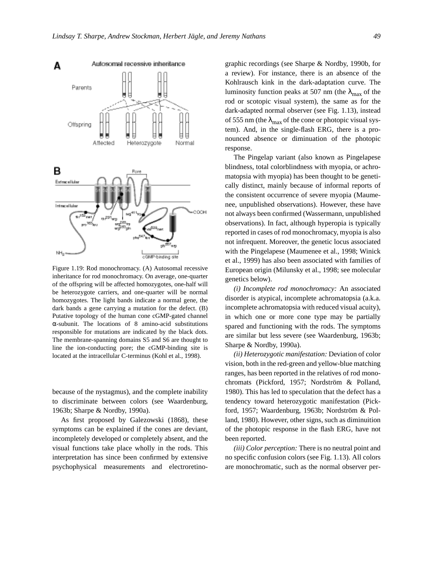

Figure 1.19: Rod monochromacy. (A) Autosomal recessive inheritance for rod monochromacy. On average, one-quarter of the offspring will be affected homozygotes, one-half will be heterozygote carriers, and one-quarter will be normal homozygotes. The light bands indicate a normal gene, the dark bands a gene carrying a mutation for the defect. (B) Putative topology of the human cone cGMP-gated channel α-subunit. The locations of 8 amino-acid substitutions responsible for mutations are indicated by the black dots. The membrane-spanning domains S5 and S6 are thought to line the ion-conducting pore; the cGMP-binding site is located at the intracellular C-terminus (Kohl et al*.*, 1998).

because of the nystagmus), and the complete inability to discriminate between colors (see Waardenburg, 1963b; Sharpe & Nordby, 1990a).

As first proposed by Galezowski (1868), these symptoms can be explained if the cones are deviant, incompletely developed or completely absent, and the visual functions take place wholly in the rods. This interpretation has since been confirmed by extensive psychophysical measurements and electroretinographic recordings (see Sharpe & Nordby, 1990b, for a review). For instance, there is an absence of the Kohlrausch kink in the dark-adaptation curve. The luminosity function peaks at 507 nm (the  $\lambda_{\text{max}}$  of the rod or scotopic visual system), the same as for the dark-adapted normal observer (see Fig. 1.13), instead of 555 nm (the  $\lambda_{\text{max}}$  of the cone or photopic visual system). And, in the single-flash ERG, there is a pronounced absence or diminuation of the photopic response.

The Pingelap variant (also known as Pingelapese blindness, total colorblindness with myopia, or achromatopsia with myopia) has been thought to be genetically distinct, mainly because of informal reports of the consistent occurrence of severe myopia (Maumenee, unpublished observations). However, these have not always been confirmed (Wassermann, unpublished observations). In fact, although hyperopia is typically reported in cases of rod monochromacy, myopia is also not infrequent. Moreover, the genetic locus associated with the Pingelapese (Maumenee et al., 1998; Winick et al., 1999) has also been associated with families of European origin (Milunsky et al., 1998; see molecular genetics below).

*(i) Incomplete rod monochromacy:* An associated disorder is atypical, incomplete achromatopsia (a.k.a. incomplete achromatopsia with reduced visual acuity), in which one or more cone type may be partially spared and functioning with the rods. The symptoms are similar but less severe (see Waardenburg, 1963b; Sharpe & Nordby, 1990a).

*(ii) Heterozygotic manifestation:* Deviation of color vision, both in the red-green and yellow-blue matching ranges, has been reported in the relatives of rod monochromats (Pickford, 1957; Nordström & Polland, 1980). This has led to speculation that the defect has a tendency toward heterozygotic manifestation (Pickford, 1957; Waardenburg, 1963b; Nordström & Polland, 1980). However, other signs, such as diminuition of the photopic response in the flash ERG, have not been reported.

*(iii) Color perception:* There is no neutral point and no specific confusion colors (see Fig. 1.13). All colors are monochromatic, such as the normal observer per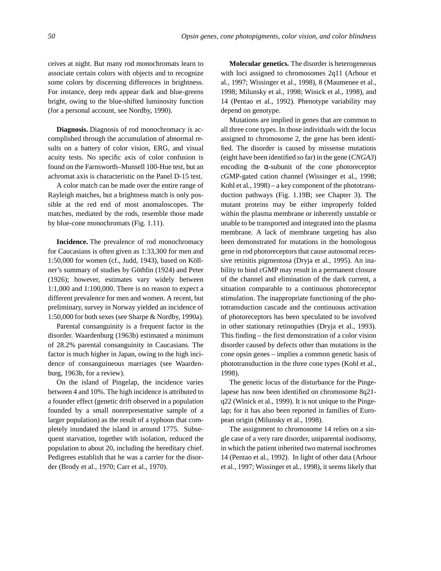ceives at night. But many rod monochromats learn to associate certain colors with objects and to recognize some colors by discerning differences in brightness. For instance, deep reds appear dark and blue-greens bright, owing to the blue-shifted luminosity function (for a personal account, see Nordby, 1990).

**Diagnosis.** Diagnosis of rod monochromacy is accomplished through the accumulation of abnormal results on a battery of color vision, ERG, and visual acuity tests. No specific axis of color confusion is found on the Farnsworth–Munsell 100-Hue test, but an achromat axis is characteristic on the Panel D-15 test.

A color match can be made over the entire range of Rayleigh matches, but a brightness match is only possible at the red end of most anomaloscopes. The matches, mediated by the rods, resemble those made by blue-cone monochromats (Fig. 1.11).

**Incidence.** The prevalence of rod monochromacy for Caucasians is often given as 1:33,300 for men and 1:50,000 for women (cf., Judd, 1943), based on Köllner's summary of studies by Göthlin (1924) and Peter (1926); however, estimates vary widely between 1:1,000 and 1:100,000. There is no reason to expect a different prevalence for men and women. A recent, but preliminary, survey in Norway yielded an incidence of 1:50,000 for both sexes (see Sharpe & Nordby, 1990a).

Parental consanguinity is a frequent factor in the disorder. Waardenburg (1963b) estimated a minimum of 28.2% parental consanguinity in Caucasians. The factor is much higher in Japan, owing to the high incidence of consanguineous marriages (see Waardenburg, 1963b, for a review).

On the island of Pingelap, the incidence varies between 4 and 10%. The high incidence is attributed to a founder effect (genetic drift observed in a population founded by a small nonrepresentative sample of a larger population) as the result of a typhoon that completely inundated the island in around 1775. Subsequent starvation, together with isolation, reduced the population to about 20, including the hereditary chief. Pedigrees establish that he was a carrier for the disorder (Brody et al., 1970; Carr et al., 1970).

**Molecular genetics.** The disorder is heterogeneous with loci assigned to chromosomes 2q11 (Arbour et al*.*, 1997; Wissinger et al., 1998), 8 (Maumenee et al., 1998; Milunsky et al., 1998; Winick et al., 1998), and 14 (Pentao et al., 1992). Phenotype variability may depend on genotype.

Mutations are implied in genes that are common to all three cone types. In those individuals with the locus assigned to chromosome 2, the gene has been identified. The disorder is caused by missense mutations (eight have been identified so far) in the gene (*CNGA3*) encoding the  $\alpha$ -subunit of the cone photoreceptor cGMP-gated cation channel (Wissinger et al*.*, 1998; Kohl et al*.*, 1998) – a key component of the phototransduction pathways (Fig. 1.19B; see Chapter 3). The mutant proteins may be either improperly folded within the plasma membrane or inherently unstable or unable to be transported and integrated into the plasma membrane. A lack of membrane targeting has also been demonstrated for mutations in the homologous gene in rod photoreceptors that cause autosomal recessive retinitis pigmentosa (Dryja et al*.*, 1995). An inability to bind cGMP may result in a permanent closure of the channel and elimination of the dark current, a situation comparable to a continuous photoreceptor stimulation. The inappropriate functioning of the phototransduction cascade and the continuous activation of photoreceptors has been speculated to be involved in other stationary retinopathies (Dryja et al., 1993). This finding – the first demonstration of a color vision disorder caused by defects other than mutations in the cone opsin genes – implies a common genetic basis of phototransduction in the three cone types (Kohl et al., 1998).

The genetic locus of the disturbance for the Pingelapese has now been identified on chromosome 8q21 q22 (Winick et al., 1999). It is not unique to the Pingelap; for it has also been reported in families of European origin (Milunsky et al., 1998).

The assignment to chromosome 14 relies on a single case of a very rare disorder, uniparental isodisomy, in which the patient inherited two maternal isochromes 14 (Pentao et al*.*, 1992). In light of other data (Arbour et al*.*, 1997; Wissinger et al*.*, 1998), it seems likely that